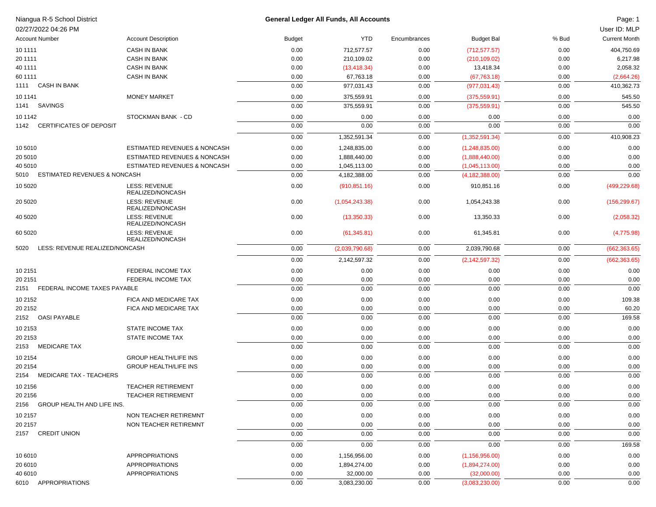| Niangua R-5 School District<br>02/27/2022 04:26 PM |                                          |               | General Ledger All Funds, All Accounts |              |                   |       | Page: 1<br>User ID: MLP |
|----------------------------------------------------|------------------------------------------|---------------|----------------------------------------|--------------|-------------------|-------|-------------------------|
| <b>Account Number</b>                              | <b>Account Description</b>               | <b>Budget</b> | <b>YTD</b>                             | Encumbrances | <b>Budget Bal</b> | % Bud | <b>Current Month</b>    |
| 10 11 11                                           | <b>CASH IN BANK</b>                      | 0.00          | 712,577.57                             | 0.00         | (712, 577.57)     | 0.00  | 404,750.69              |
| 20 11 11                                           | <b>CASH IN BANK</b>                      | 0.00          | 210,109.02                             | 0.00         | (210, 109.02)     | 0.00  | 6,217.98                |
| 40 1111                                            | <b>CASH IN BANK</b>                      | 0.00          | (13, 418.34)                           | 0.00         | 13,418.34         | 0.00  | 2,058.32                |
| 60 1111                                            | <b>CASH IN BANK</b>                      | 0.00          | 67,763.18                              | 0.00         | (67, 763.18)      | 0.00  | (2,664.26)              |
| <b>CASH IN BANK</b><br>1111                        |                                          | 0.00          | 977,031.43                             | 0.00         | (977, 031.43)     | 0.00  | 410,362.73              |
| 10 11 41                                           | <b>MONEY MARKET</b>                      | 0.00          | 375,559.91                             | 0.00         | (375, 559.91)     | 0.00  | 545.50                  |
| <b>SAVINGS</b><br>1141                             |                                          | 0.00          | 375,559.91                             | 0.00         | (375, 559.91)     | 0.00  | 545.50                  |
|                                                    | STOCKMAN BANK - CD                       |               |                                        |              |                   |       |                         |
| 10 11 42<br><b>CERTIFICATES OF DEPOSIT</b><br>1142 |                                          | 0.00<br>0.00  | 0.00<br>0.00                           | 0.00         | 0.00<br>0.00      | 0.00  | 0.00<br>0.00            |
|                                                    |                                          |               |                                        | 0.00         |                   | 0.00  |                         |
|                                                    |                                          | 0.00          | 1,352,591.34                           | 0.00         | (1,352,591.34)    | 0.00  | 410,908.23              |
| 10 5010                                            | ESTIMATED REVENUES & NONCASH             | 0.00          | 1,248,835.00                           | 0.00         | (1,248,835.00)    | 0.00  | 0.00                    |
| 20 5010                                            | ESTIMATED REVENUES & NONCASH             | 0.00          | 1,888,440.00                           | 0.00         | (1,888,440.00)    | 0.00  | 0.00                    |
| 40 5010                                            | ESTIMATED REVENUES & NONCASH             | 0.00          | 1,045,113.00                           | 0.00         | (1,045,113.00)    | 0.00  | 0.00                    |
| ESTIMATED REVENUES & NONCASH<br>5010               |                                          | 0.00          | 4,182,388.00                           | 0.00         | (4, 182, 388.00)  | 0.00  | 0.00                    |
| 10 50 20                                           | <b>LESS: REVENUE</b><br>REALIZED/NONCASH | 0.00          | (910, 851.16)                          | 0.00         | 910,851.16        | 0.00  | (499, 229.68)           |
| 20 50 20                                           | <b>LESS: REVENUE</b><br>REALIZED/NONCASH | 0.00          | (1,054,243.38)                         | 0.00         | 1,054,243.38      | 0.00  | (156, 299.67)           |
| 40 50 20                                           | <b>LESS: REVENUE</b><br>REALIZED/NONCASH | 0.00          | (13,350.33)                            | 0.00         | 13,350.33         | 0.00  | (2,058.32)              |
| 60 50 20                                           | <b>LESS: REVENUE</b><br>REALIZED/NONCASH | 0.00          | (61, 345.81)                           | 0.00         | 61,345.81         | 0.00  | (4,775.98)              |
| LESS: REVENUE REALIZED/NONCASH<br>5020             |                                          | 0.00          | (2,039,790.68)                         | 0.00         | 2,039,790.68      | 0.00  | (662, 363.65)           |
|                                                    |                                          | 0.00          | 2,142,597.32                           | 0.00         | (2, 142, 597.32)  | 0.00  | (662, 363.65)           |
| 10 2151                                            | FEDERAL INCOME TAX                       | 0.00          | 0.00                                   | 0.00         | 0.00              | 0.00  | 0.00                    |
| 20 21 51                                           | FEDERAL INCOME TAX                       | 0.00          | 0.00                                   | 0.00         | 0.00              | 0.00  | 0.00                    |
| FEDERAL INCOME TAXES PAYABLE<br>2151               |                                          | 0.00          | 0.00                                   | 0.00         | 0.00              | 0.00  | 0.00                    |
| 10 2152                                            | FICA AND MEDICARE TAX                    | 0.00          | 0.00                                   | 0.00         | 0.00              | 0.00  | 109.38                  |
| 20 21 52                                           | FICA AND MEDICARE TAX                    | 0.00          | 0.00                                   | 0.00         | 0.00              | 0.00  | 60.20                   |
| <b>OASI PAYABLE</b><br>2152                        |                                          | 0.00          | 0.00                                   | 0.00         | 0.00              | 0.00  | 169.58                  |
|                                                    |                                          |               |                                        |              |                   |       |                         |
| 10 2153                                            | <b>STATE INCOME TAX</b>                  | 0.00          | 0.00                                   | 0.00         | 0.00              | 0.00  | 0.00                    |
| 20 21 53<br><b>MEDICARE TAX</b><br>2153            | STATE INCOME TAX                         | 0.00          | 0.00                                   | 0.00         | 0.00              | 0.00  | 0.00<br>0.00            |
|                                                    |                                          | 0.00          | 0.00                                   | 0.00         | 0.00              | 0.00  |                         |
| 10 2154                                            | <b>GROUP HEALTH/LIFE INS</b>             | 0.00          | 0.00                                   | 0.00         | 0.00              | 0.00  | 0.00                    |
| 20 21 54                                           | <b>GROUP HEALTH/LIFE INS</b>             | 0.00          | 0.00                                   | 0.00         | 0.00              | 0.00  | 0.00                    |
| <b>MEDICARE TAX - TEACHERS</b><br>2154             |                                          | 0.00          | 0.00                                   | 0.00         | 0.00              | 0.00  | 0.00                    |
| 10 2156                                            | TEACHER RETIREMENT                       | 0.00          | 0.00                                   | 0.00         | 0.00              | 0.00  | 0.00                    |
| 20 2156                                            | TEACHER RETIREMENT                       | 0.00          | 0.00                                   | 0.00         | 0.00              | 0.00  | 0.00                    |
| 2156 GROUP HEALTH AND LIFE INS.                    |                                          | 0.00          | 0.00                                   | 0.00         | 0.00              | 0.00  | 0.00                    |
| 10 2157                                            | NON TEACHER RETIREMNT                    | 0.00          | 0.00                                   | 0.00         | 0.00              | 0.00  | 0.00                    |
| 20 2157                                            | NON TEACHER RETIREMNT                    | 0.00          | 0.00                                   | 0.00         | 0.00              | 0.00  | 0.00                    |
| 2157 CREDIT UNION                                  |                                          | 0.00          | 0.00                                   | 0.00         | 0.00              | 0.00  | 0.00                    |
|                                                    |                                          | 0.00          | 0.00                                   | 0.00         | 0.00              | 0.00  | 169.58                  |
| 10 6010                                            | APPROPRIATIONS                           | 0.00          | 1,156,956.00                           | 0.00         | (1, 156, 956.00)  | 0.00  | 0.00                    |
| 20 6010                                            | <b>APPROPRIATIONS</b>                    | 0.00          | 1,894,274.00                           | 0.00         | (1,894,274.00)    | 0.00  | 0.00                    |
| 40 6010                                            | <b>APPROPRIATIONS</b>                    | 0.00          | 32,000.00                              | 0.00         | (32,000.00)       | 0.00  | 0.00                    |
| 6010 APPROPRIATIONS                                |                                          | 0.00          | 3,083,230.00                           | 0.00         | (3,083,230.00)    | 0.00  | 0.00                    |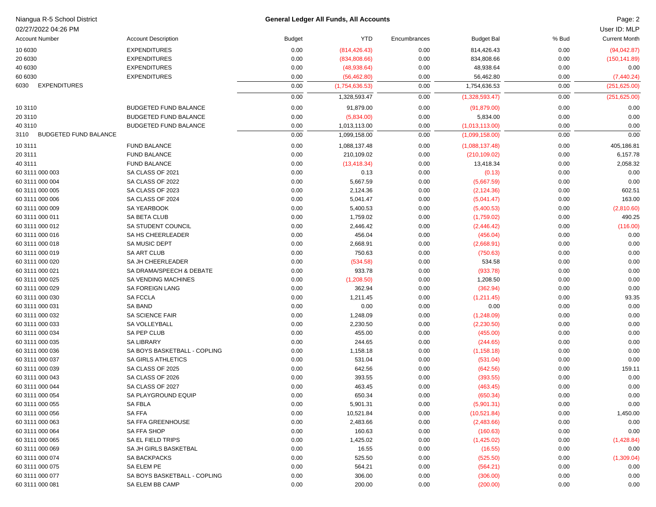| Niangua R-5 School District          |                              |               | General Ledger All Funds, All Accounts |              |                   |       | Page: 2              |
|--------------------------------------|------------------------------|---------------|----------------------------------------|--------------|-------------------|-------|----------------------|
| 02/27/2022 04:26 PM                  |                              |               |                                        |              |                   |       | User ID: MLP         |
| <b>Account Number</b>                | <b>Account Description</b>   | <b>Budget</b> | <b>YTD</b>                             | Encumbrances | <b>Budget Bal</b> | % Bud | <b>Current Month</b> |
| 10 6030                              | <b>EXPENDITURES</b>          | 0.00          | (814, 426.43)                          | 0.00         | 814,426.43        | 0.00  | (94,042.87)          |
| 20 6030                              | <b>EXPENDITURES</b>          | 0.00          | (834, 808.66)                          | 0.00         | 834,808.66        | 0.00  | (150, 141.89)        |
| 40 6030                              | <b>EXPENDITURES</b>          | 0.00          | (48,938.64)                            | 0.00         | 48,938.64         | 0.00  | 0.00                 |
| 60 6030                              | <b>EXPENDITURES</b>          | 0.00          | (56, 462.80)                           | 0.00         | 56,462.80         | 0.00  | (7, 440.24)          |
| <b>EXPENDITURES</b><br>6030          |                              | 0.00          | (1,754,636.53)                         | 0.00         | 1,754,636.53      | 0.00  | (251, 625.00)        |
|                                      |                              | 0.00          | 1,328,593.47                           | 0.00         | (1,328,593.47)    | 0.00  | (251, 625.00)        |
| 10 31 10                             | <b>BUDGETED FUND BALANCE</b> | 0.00          | 91,879.00                              | 0.00         | (91, 879.00)      | 0.00  | 0.00                 |
| 20 31 10                             | <b>BUDGETED FUND BALANCE</b> | 0.00          | (5,834.00)                             | 0.00         | 5,834.00          | 0.00  | 0.00                 |
| 40 3110                              | <b>BUDGETED FUND BALANCE</b> | 0.00          | 1,013,113.00                           | 0.00         | (1,013,113.00)    | 0.00  | 0.00                 |
| <b>BUDGETED FUND BALANCE</b><br>3110 |                              | 0.00          | 1,099,158.00                           | 0.00         | (1,099,158.00)    | 0.00  | 0.00                 |
| 10 3111                              | <b>FUND BALANCE</b>          | 0.00          | 1,088,137.48                           | 0.00         | (1,088,137.48)    | 0.00  | 405,186.81           |
| 20 3111                              | <b>FUND BALANCE</b>          | 0.00          | 210,109.02                             | 0.00         | (210, 109.02)     | 0.00  | 6,157.78             |
| 40 3111                              | <b>FUND BALANCE</b>          | 0.00          | (13, 418.34)                           | 0.00         | 13,418.34         | 0.00  | 2,058.32             |
| 60 3111 000 003                      | SA CLASS OF 2021             | 0.00          | 0.13                                   | 0.00         | (0.13)            | 0.00  | 0.00                 |
| 60 3111 000 004                      | SA CLASS OF 2022             | 0.00          | 5,667.59                               | 0.00         | (5,667.59)        | 0.00  | 0.00                 |
| 60 3111 000 005                      | SA CLASS OF 2023             | 0.00          | 2,124.36                               | 0.00         | (2, 124.36)       | 0.00  | 602.51               |
| 60 3111 000 006                      | SA CLASS OF 2024             | 0.00          | 5,041.47                               | 0.00         | (5,041.47)        | 0.00  | 163.00               |
| 60 3111 000 009                      | SA YEARBOOK                  | 0.00          | 5,400.53                               | 0.00         | (5,400.53)        | 0.00  | (2,810.60)           |
| 60 3111 000 011                      | SA BETA CLUB                 | 0.00          | 1,759.02                               | 0.00         | (1,759.02)        | 0.00  | 490.25               |
| 60 3111 000 012                      | SA STUDENT COUNCIL           | 0.00          | 2,446.42                               | 0.00         | (2,446.42)        | 0.00  | (116.00)             |
| 60 3111 000 016                      | SA HS CHEERLEADER            | 0.00          | 456.04                                 | 0.00         | (456.04)          | 0.00  | 0.00                 |
| 60 3111 000 018                      | <b>SA MUSIC DEPT</b>         | 0.00          | 2,668.91                               | 0.00         | (2,668.91)        | 0.00  | 0.00                 |
| 60 3111 000 019                      | <b>SA ART CLUB</b>           | 0.00          | 750.63                                 | 0.00         | (750.63)          | 0.00  | 0.00                 |
| 60 3111 000 020                      | SA JH CHEERLEADER            | 0.00          | (534.58)                               | 0.00         | 534.58            | 0.00  | 0.00                 |
| 60 3111 000 021                      | SA DRAMA/SPEECH & DEBATE     | 0.00          | 933.78                                 | 0.00         | (933.78)          | 0.00  | 0.00                 |
| 60 3111 000 025                      | <b>SA VENDING MACHINES</b>   | 0.00          | (1,208.50)                             | 0.00         | 1,208.50          | 0.00  | 0.00                 |
| 60 3111 000 029                      | <b>SA FOREIGN LANG</b>       | 0.00          | 362.94                                 | 0.00         | (362.94)          | 0.00  | 0.00                 |
| 60 3111 000 030                      | <b>SA FCCLA</b>              | 0.00          | 1,211.45                               | 0.00         | (1,211.45)        | 0.00  | 93.35                |
| 60 3111 000 031                      | <b>SA BAND</b>               | 0.00          | 0.00                                   | 0.00         | 0.00              | 0.00  | 0.00                 |
| 60 3111 000 032                      | SA SCIENCE FAIR              | 0.00          | 1,248.09                               | 0.00         | (1,248.09)        | 0.00  | 0.00                 |
| 60 3111 000 033                      | <b>SA VOLLEYBALL</b>         | 0.00          | 2,230.50                               | 0.00         | (2,230.50)        | 0.00  | 0.00                 |
| 60 3111 000 034                      | <b>SA PEP CLUB</b>           | 0.00          | 455.00                                 | 0.00         | (455.00)          | 0.00  | 0.00                 |
| 60 3111 000 035                      | <b>SA LIBRARY</b>            | 0.00          | 244.65                                 | 0.00         | (244.65)          | 0.00  | 0.00                 |
| 60 3111 000 036                      | SA BOYS BASKETBALL - COPLING | 0.00          | 1,158.18                               | 0.00         | (1, 158.18)       | 0.00  | 0.00                 |
| 60 3111 000 037                      | <b>SA GIRLS ATHLETICS</b>    | 0.00          | 531.04                                 | 0.00         | (531.04)          | 0.00  | 0.00                 |
| 60 3111 000 039                      | SA CLASS OF 2025             | 0.00          | 642.56                                 | 0.00         | (642.56)          | 0.00  | 159.11               |
| 60 3111 000 043                      | SA CLASS OF 2026             | 0.00          | 393.55                                 | 0.00         | (393.55)          | 0.00  | 0.00                 |
| 60 3111 000 044                      | SA CLASS OF 2027             | 0.00          | 463.45                                 | 0.00         | (463.45)          | 0.00  | 0.00                 |
| 60 3111 000 054                      | SA PLAYGROUND EQUIP          | 0.00          | 650.34                                 | 0.00         | (650.34)          | 0.00  | 0.00                 |
| 60 3111 000 055                      | <b>SA FBLA</b>               | 0.00          | 5,901.31                               | 0.00         | (5,901.31)        | 0.00  | 0.00                 |
| 60 3111 000 056                      | SA FFA                       | 0.00          | 10,521.84                              | 0.00         | (10,521.84)       | 0.00  | 1,450.00             |
| 60 3111 000 063                      | SA FFA GREENHOUSE            | 0.00          | 2,483.66                               | 0.00         | (2,483.66)        | 0.00  | 0.00                 |
| 60 3111 000 064                      | SA FFA SHOP                  | 0.00          | 160.63                                 | 0.00         | (160.63)          | 0.00  | 0.00                 |
| 60 3111 000 065                      | SA EL FIELD TRIPS            | 0.00          | 1,425.02                               | 0.00         | (1,425.02)        | 0.00  | (1,428.84)           |
| 60 3111 000 069                      | SA JH GIRLS BASKETBAL        | 0.00          | 16.55                                  | 0.00         | (16.55)           | 0.00  | 0.00                 |
| 60 3111 000 074                      | SA BACKPACKS                 | 0.00          | 525.50                                 | 0.00         | (525.50)          | 0.00  | (1,309.04)           |
| 60 3111 000 075                      | SA ELEM PE                   | 0.00          | 564.21                                 | 0.00         | (564.21)          | 0.00  | 0.00                 |
| 60 3111 000 077                      | SA BOYS BASKETBALL - COPLING | 0.00          | 306.00                                 | 0.00         | (306.00)          | 0.00  | 0.00                 |
| 60 3111 000 081                      | SA ELEM BB CAMP              | 0.00          | 200.00                                 | 0.00         | (200.00)          | 0.00  | 0.00                 |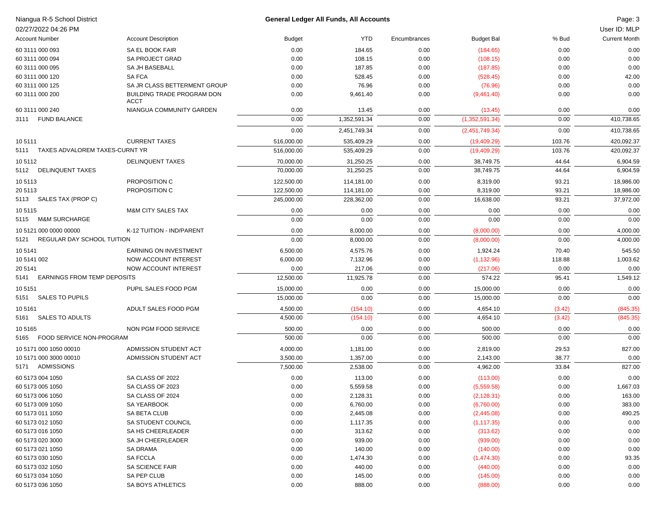|                 | Niangua R-5 School District         |                                           |                   | <b>General Ledger All Funds, All Accounts</b> |              |                    |               | Page: 3              |
|-----------------|-------------------------------------|-------------------------------------------|-------------------|-----------------------------------------------|--------------|--------------------|---------------|----------------------|
|                 | 02/27/2022 04:26 PM                 |                                           |                   |                                               |              |                    |               | User ID: MLP         |
|                 | <b>Account Number</b>               | <b>Account Description</b>                | <b>Budget</b>     | <b>YTD</b>                                    | Encumbrances | <b>Budget Bal</b>  | % Bud         | <b>Current Month</b> |
|                 | 60 3111 000 093                     | SA EL BOOK FAIR                           | 0.00              | 184.65                                        | 0.00         | (184.65)           | 0.00          | 0.00                 |
|                 | 60 3111 000 094                     | <b>SA PROJECT GRAD</b>                    | 0.00              | 108.15                                        | 0.00         | (108.15)           | 0.00          | 0.00                 |
|                 | 60 3111 000 095                     | SA JH BASEBALL                            | 0.00              | 187.85                                        | 0.00         | (187.85)           | 0.00          | 0.00                 |
|                 | 60 3111 000 120                     | <b>SAFCA</b>                              | 0.00              | 528.45                                        | 0.00         | (528.45)           | 0.00          | 42.00                |
|                 | 60 3111 000 125                     | SA JR CLASS BETTERMENT GROUP              | 0.00              | 76.96                                         | 0.00         | (76.96)            | 0.00          | 0.00                 |
|                 | 60 3111 000 200                     | BUILDING TRADE PROGRAM DON<br><b>ACCT</b> | 0.00              | 9,461.40                                      | 0.00         | (9,461.40)         | 0.00          | 0.00                 |
|                 | 60 3111 000 240                     | NIANGUA COMMUNITY GARDEN                  | 0.00              | 13.45                                         | 0.00         | (13.45)            | 0.00          | 0.00                 |
|                 | 3111 FUND BALANCE                   |                                           | 0.00              | 1,352,591.34                                  | 0.00         | (1,352,591.34)     | 0.00          | 410,738.65           |
|                 |                                     |                                           | 0.00              | 2,451,749.34                                  | 0.00         | (2,451,749.34)     | 0.00          | 410,738.65           |
| 105111          |                                     | <b>CURRENT TAXES</b>                      | 516,000.00        | 535,409.29                                    | 0.00         | (19,409.29)        | 103.76        | 420,092.37           |
|                 | 5111 TAXES ADVALOREM TAXES-CURNT YR |                                           | 516,000.00        | 535,409.29                                    | 0.00         | (19,409.29)        | 103.76        | 420,092.37           |
| 105112          |                                     | <b>DELINQUENT TAXES</b>                   | 70,000.00         | 31,250.25                                     | 0.00         | 38,749.75          | 44.64         | 6,904.59             |
|                 | 5112 DELINQUENT TAXES               |                                           | 70,000.00         | 31,250.25                                     | 0.00         | 38,749.75          | 44.64         | 6,904.59             |
| 105113          |                                     | PROPOSITION C                             | 122,500.00        | 114,181.00                                    | 0.00         | 8,319.00           | 93.21         | 18,986.00            |
| 20 5113         |                                     | PROPOSITION C                             | 122,500.00        | 114,181.00                                    | 0.00         | 8,319.00           | 93.21         | 18,986.00            |
| 5113            | SALES TAX (PROP C)                  |                                           | 245,000.00        | 228,362.00                                    | 0.00         | 16,638.00          | 93.21         | 37,972.00            |
| 105115          |                                     | <b>M&amp;M CITY SALES TAX</b>             | 0.00              | 0.00                                          | 0.00         | 0.00               | 0.00          | 0.00                 |
| 5115            | <b>M&amp;M SURCHARGE</b>            |                                           | 0.00              | 0.00                                          | 0.00         | 0.00               | 0.00          | 0.00                 |
|                 | 10 5121 000 0000 00000              | K-12 TUITION - IND/PARENT                 | 0.00              | 8,000.00                                      | 0.00         | (8,000.00)         | 0.00          | 4,000.00             |
| 5121            | REGULAR DAY SCHOOL TUITION          |                                           | 0.00              | 8,000.00                                      | 0.00         | (8,000.00)         | 0.00          | 4,000.00             |
| 105141          |                                     | <b>EARNING ON INVESTMENT</b>              | 6,500.00          | 4,575.76                                      | 0.00         |                    | 70.40         | 545.50               |
|                 |                                     |                                           |                   |                                               |              | 1,924.24           |               |                      |
| 10 5141 002     |                                     | NOW ACCOUNT INTEREST                      | 6,000.00          | 7,132.96                                      | 0.00         | (1, 132.96)        | 118.88        | 1,003.62             |
| 20 5141<br>5141 | <b>EARNINGS FROM TEMP DEPOSITS</b>  | NOW ACCOUNT INTEREST                      | 0.00<br>12,500.00 | 217.06<br>11,925.78                           | 0.00<br>0.00 | (217.06)<br>574.22 | 0.00<br>95.41 | 0.00<br>1,549.12     |
|                 |                                     |                                           |                   |                                               |              |                    |               |                      |
| 105151          |                                     | PUPIL SALES FOOD PGM                      | 15,000.00         | 0.00                                          | 0.00         | 15,000.00          | 0.00          | 0.00                 |
| 5151            | <b>SALES TO PUPILS</b>              |                                           | 15,000.00         | 0.00                                          | 0.00         | 15,000.00          | 0.00          | 0.00                 |
| 105161          |                                     | ADULT SALES FOOD PGM                      | 4,500.00          | (154.10)                                      | 0.00         | 4,654.10           | (3.42)        | (845.35)             |
| 5161            | <b>SALES TO ADULTS</b>              |                                           | 4,500.00          | (154.10)                                      | 0.00         | 4,654.10           | (3.42)        | (845.35)             |
| 105165          |                                     | NON PGM FOOD SERVICE                      | 500.00            | 0.00                                          | 0.00         | 500.00             | 0.00          | 0.00                 |
|                 | 5165 FOOD SERVICE NON-PROGRAM       |                                           | 500.00            | 0.00                                          | 0.00         | 500.00             | 0.00          | 0.00                 |
|                 | 10 5171 000 1050 00010              | ADMISSION STUDENT ACT                     | 4,000.00          | 1,181.00                                      | 0.00         | 2,819.00           | 29.53         | 827.00               |
|                 | 10 5171 000 3000 00010              | ADMISSION STUDENT ACT                     | 3,500.00          | 1,357.00                                      | 0.00         | 2,143.00           | 38.77         | 0.00                 |
|                 | 5171 ADMISSIONS                     |                                           | 7,500.00          | 2,538.00                                      | 0.00         | 4,962.00           | 33.84         | 827.00               |
|                 | 60 5173 004 1050                    | SA CLASS OF 2022                          | 0.00              | 113.00                                        | 0.00         | (113.00)           | 0.00          | 0.00                 |
|                 | 60 5173 005 1050                    | SA CLASS OF 2023                          | 0.00              | 5,559.58                                      | 0.00         | (5,559.58)         | 0.00          | 1,667.03             |
|                 | 60 5173 006 1050                    | SA CLASS OF 2024                          | 0.00              | 2,128.31                                      | 0.00         | (2, 128.31)        | 0.00          | 163.00               |
|                 | 60 5173 009 1050                    | SA YEARBOOK                               | 0.00              | 6,760.00                                      | 0.00         | (6,760.00)         | 0.00          | 383.00               |
|                 | 60 5173 011 1050                    | SA BETA CLUB                              | 0.00              | 2,445.08                                      | 0.00         | (2,445.08)         | 0.00          | 490.25               |
|                 | 60 5173 012 1050                    | SA STUDENT COUNCIL                        | 0.00              | 1,117.35                                      | 0.00         | (1, 117.35)        | 0.00          | 0.00                 |
|                 | 60 5173 016 1050                    | SA HS CHEERLEADER                         | 0.00              | 313.62                                        | 0.00         | (313.62)           | 0.00          | 0.00                 |
|                 | 60 5173 020 3000                    | SA JH CHEERLEADER                         | 0.00              | 939.00                                        | 0.00         | (939.00)           | 0.00          | 0.00                 |
|                 | 60 5173 021 1050                    | SA DRAMA                                  | 0.00              | 140.00                                        | 0.00         | (140.00)           | 0.00          | 0.00                 |
|                 | 60 5173 030 1050                    | <b>SA FCCLA</b>                           | 0.00              | 1,474.30                                      | 0.00         | (1,474.30)         | 0.00          | 93.35                |
|                 | 60 5173 032 1050                    | SA SCIENCE FAIR                           | 0.00              | 440.00                                        | 0.00         | (440.00)           | 0.00          | 0.00                 |
|                 | 60 5173 034 1050                    | SA PEP CLUB                               | 0.00              | 145.00                                        | 0.00         | (145.00)           | 0.00          | 0.00                 |
|                 | 60 5173 036 1050                    | SA BOYS ATHLETICS                         | 0.00              | 888.00                                        | 0.00         | (888.00)           | 0.00          | 0.00                 |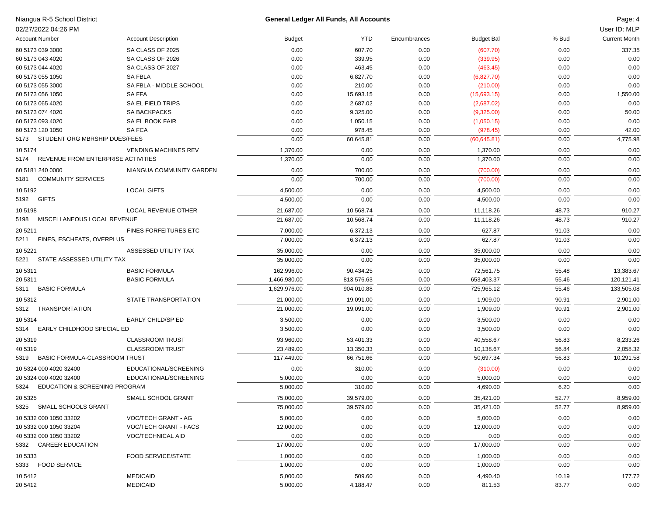| Niangua R-5 School District                      |                                              | <b>General Ledger All Funds, All Accounts</b> |                      |              |                       |                | Page: 4              |
|--------------------------------------------------|----------------------------------------------|-----------------------------------------------|----------------------|--------------|-----------------------|----------------|----------------------|
| 02/27/2022 04:26 PM                              |                                              |                                               |                      |              |                       |                | User ID: MLP         |
| <b>Account Number</b>                            | <b>Account Description</b>                   | <b>Budget</b>                                 | <b>YTD</b>           | Encumbrances | <b>Budget Bal</b>     | % Bud          | <b>Current Month</b> |
| 60 5173 039 3000                                 | SA CLASS OF 2025                             | 0.00                                          | 607.70               | 0.00         | (607.70)              | 0.00           | 337.35               |
| 60 5173 043 4020                                 | SA CLASS OF 2026                             | 0.00                                          | 339.95               | 0.00         | (339.95)              | 0.00           | 0.00                 |
| 60 5173 044 4020                                 | SA CLASS OF 2027                             | 0.00                                          | 463.45               | 0.00         | (463.45)              | 0.00           | 0.00                 |
| 60 5173 055 1050                                 | <b>SA FBLA</b>                               | 0.00                                          | 6,827.70             | 0.00         | (6,827.70)            | 0.00           | 0.00                 |
| 60 5173 055 3000                                 | SA FBLA - MIDDLE SCHOOL                      | 0.00                                          | 210.00               | 0.00         | (210.00)              | 0.00           | 0.00                 |
| 60 5173 056 1050                                 | <b>SA FFA</b>                                | 0.00                                          | 15,693.15            | 0.00         | (15,693.15)           | 0.00           | 1,550.00             |
| 60 5173 065 4020                                 | SA EL FIELD TRIPS                            | 0.00                                          | 2,687.02             | 0.00         | (2,687.02)            | 0.00           | 0.00                 |
| 60 5173 074 4020                                 | <b>SA BACKPACKS</b>                          | 0.00                                          | 9,325.00             | 0.00         | (9,325.00)            | 0.00           | 50.00                |
| 60 5173 093 4020                                 | SA EL BOOK FAIR                              | 0.00                                          | 1,050.15             | 0.00         | (1,050.15)            | 0.00           | 0.00                 |
| 60 5173 120 1050                                 | <b>SAFCA</b>                                 | 0.00                                          | 978.45               | 0.00         | (978.45)              | 0.00           | 42.00                |
| 5173 STUDENT ORG MBRSHIP DUES/FEES               |                                              | 0.00                                          | 60,645.81            | 0.00         | (60, 645.81)          | 0.00           | 4,775.98             |
| 105174                                           | <b>VENDING MACHINES REV</b>                  | 1,370.00                                      | 0.00                 | 0.00         | 1,370.00              | 0.00           | 0.00                 |
| REVENUE FROM ENTERPRISE ACTIVITIES<br>5174       |                                              | 1,370.00                                      | 0.00                 | 0.00         | 1,370.00              | 0.00           | 0.00                 |
| 60 5181 240 0000                                 | NIANGUA COMMUNITY GARDEN                     | 0.00                                          | 700.00               | 0.00         | (700.00)              | 0.00           | 0.00                 |
| <b>COMMUNITY SERVICES</b><br>5181                |                                              | 0.00                                          | 700.00               | 0.00         | (700.00)              | 0.00           | 0.00                 |
| 10 5192                                          | <b>LOCAL GIFTS</b>                           | 4,500.00                                      | 0.00                 | 0.00         | 4,500.00              | 0.00           | 0.00                 |
| 5192 GIFTS                                       |                                              | 4,500.00                                      | 0.00                 | 0.00         | 4,500.00              | 0.00           | 0.00                 |
| 105198                                           | LOCAL REVENUE OTHER                          | 21,687.00                                     | 10,568.74            | 0.00         | 11,118.26             | 48.73          | 910.27               |
| MISCELLANEOUS LOCAL REVENUE<br>5198              |                                              | 21,687.00                                     | 10,568.74            | 0.00         | 11,118.26             | 48.73          | 910.27               |
|                                                  |                                              |                                               |                      |              |                       |                |                      |
| 20 5211<br>5211 FINES, ESCHEATS, OVERPLUS        | <b>FINES FORFEITURES ETC</b>                 | 7,000.00<br>7,000.00                          | 6,372.13<br>6,372.13 | 0.00<br>0.00 | 627.87<br>627.87      | 91.03<br>91.03 | 0.00                 |
|                                                  |                                              |                                               |                      |              |                       |                | 0.00                 |
| 10 5221                                          | ASSESSED UTILITY TAX                         | 35,000.00                                     | 0.00                 | 0.00         | 35,000.00             | 0.00           | 0.00                 |
| STATE ASSESSED UTILITY TAX<br>5221               |                                              | 35,000.00                                     | 0.00                 | 0.00         | 35,000.00             | 0.00           | 0.00                 |
| 105311                                           | <b>BASIC FORMULA</b>                         | 162,996.00                                    | 90,434.25            | 0.00         | 72,561.75             | 55.48          | 13,383.67            |
| 20 5311                                          | <b>BASIC FORMULA</b>                         | 1,466,980.00                                  | 813,576.63           | 0.00         | 653,403.37            | 55.46          | 120,121.41           |
| 5311 BASIC FORMULA                               |                                              | 1,629,976.00                                  | 904,010.88           | 0.00         | 725,965.12            | 55.46          | 133,505.08           |
| 10 5312                                          | STATE TRANSPORTATION                         | 21,000.00                                     | 19,091.00            | 0.00         | 1,909.00              | 90.91          | 2,901.00             |
| 5312 TRANSPORTATION                              |                                              | 21,000.00                                     | 19,091.00            | 0.00         | 1,909.00              | 90.91          | 2,901.00             |
| 10 5314                                          | EARLY CHILD/SP ED                            | 3,500.00                                      | 0.00                 | 0.00         | 3,500.00              | 0.00           | 0.00                 |
| EARLY CHILDHOOD SPECIAL ED<br>5314               |                                              | 3,500.00                                      | 0.00                 | 0.00         | 3,500.00              | 0.00           | 0.00                 |
| 20 5319                                          | <b>CLASSROOM TRUST</b>                       | 93,960.00                                     | 53,401.33            | 0.00         | 40,558.67             | 56.83          | 8,233.26             |
| 40 5319                                          | <b>CLASSROOM TRUST</b>                       | 23,489.00                                     | 13,350.33            | 0.00         | 10,138.67             | 56.84          | 2,058.32             |
| 5319 BASIC FORMULA-CLASSROOM TRUST               |                                              | 117,449.00                                    | 66,751.66            | 0.00         | 50,697.34             | 56.83          | 10,291.58            |
| 10 5324 000 4020 32400                           | EDUCATIONAL/SCREENING                        | 0.00                                          | 310.00               | 0.00         | (310.00)              | 0.00           | 0.00                 |
| 20 5324 000 4020 32400                           | EDUCATIONAL/SCREENING                        | 5,000.00                                      | 0.00                 | 0.00         | 5,000.00              | 0.00           | 0.00                 |
| 5324 EDUCATION & SCREENING PROGRAM               |                                              | 5,000.00                                      | 310.00               | 0.00         | 4,690.00              | 6.20           | 0.00                 |
| 20 5325                                          | SMALL SCHOOL GRANT                           | 75,000.00                                     | 39,579.00            | 0.00         | 35,421.00             | 52.77          | 8,959.00             |
| 5325 SMALL SCHOOLS GRANT                         |                                              | 75,000.00                                     | 39,579.00            | 0.00         | 35,421.00             | 52.77          | 8,959.00             |
|                                                  |                                              |                                               |                      |              |                       |                |                      |
| 10 5332 000 1050 33202<br>10 5332 000 1050 33204 | VOC/TECH GRANT - AG<br>VOC/TECH GRANT - FACS | 5,000.00<br>12,000.00                         | 0.00                 | 0.00         | 5,000.00<br>12,000.00 | 0.00<br>0.00   | 0.00<br>0.00         |
| 40 5332 000 1050 33202                           | VOC/TECHNICAL AID                            | 0.00                                          | 0.00<br>0.00         | 0.00<br>0.00 | 0.00                  | 0.00           | 0.00                 |
| 5332 CAREER EDUCATION                            |                                              | 17,000.00                                     | 0.00                 | 0.00         | 17,000.00             | 0.00           | 0.00                 |
|                                                  |                                              |                                               |                      |              |                       |                |                      |
| 10 5333                                          | <b>FOOD SERVICE/STATE</b>                    | 1,000.00                                      | 0.00                 | 0.00         | 1,000.00              | 0.00           | 0.00                 |
| 5333 FOOD SERVICE                                |                                              | 1,000.00                                      | 0.00                 | 0.00         | 1,000.00              | 0.00           | 0.00                 |
| 10 5412                                          | <b>MEDICAID</b>                              | 5,000.00                                      | 509.60               | 0.00         | 4,490.40              | 10.19          | 177.72               |

20 5412 MEDICAID 5,000.00 4,188.47 0.00 811.53 83.77 0.00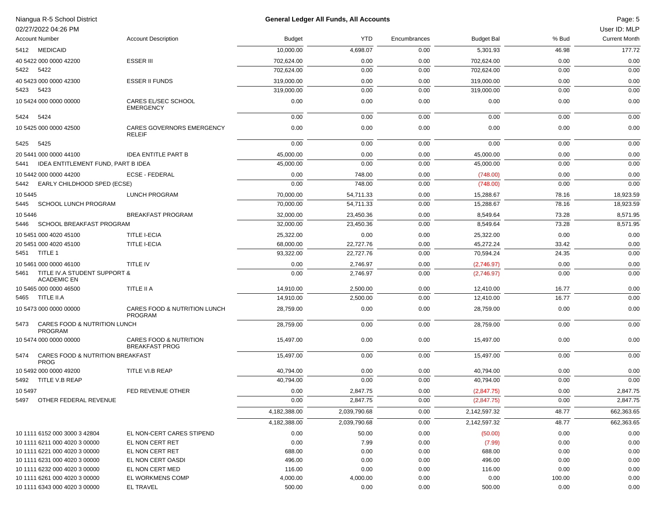| Niangua R-5 School District<br>02/27/2022 04:26 PM         |                                                            |               | <b>General Ledger All Funds, All Accounts</b> |              |                   |        | Page: 5<br>User ID: MLP |
|------------------------------------------------------------|------------------------------------------------------------|---------------|-----------------------------------------------|--------------|-------------------|--------|-------------------------|
| <b>Account Number</b>                                      | <b>Account Description</b>                                 | <b>Budget</b> | <b>YTD</b>                                    | Encumbrances | <b>Budget Bal</b> | % Bud  | <b>Current Month</b>    |
| 5412 MEDICAID                                              |                                                            | 10,000.00     | 4,698.07                                      | 0.00         | 5,301.93          | 46.98  | 177.72                  |
| 40 5422 000 0000 42200                                     | <b>ESSER III</b>                                           | 702,624.00    | 0.00                                          | 0.00         | 702,624.00        | 0.00   | 0.00                    |
| 5422<br>5422                                               |                                                            | 702,624.00    | 0.00                                          | 0.00         | 702,624.00        | 0.00   | 0.00                    |
| 40 5423 000 0000 42300                                     | <b>ESSER II FUNDS</b>                                      | 319,000.00    | 0.00                                          | 0.00         | 319,000.00        | 0.00   | 0.00                    |
| 5423 5423                                                  |                                                            | 319,000.00    | 0.00                                          | 0.00         | 319,000.00        | 0.00   | 0.00                    |
| 10 5424 000 0000 00000                                     | CARES EL/SEC SCHOOL<br><b>EMERGENCY</b>                    | 0.00          | 0.00                                          | 0.00         | 0.00              | 0.00   | 0.00                    |
| 5424<br>5424                                               |                                                            | 0.00          | 0.00                                          | 0.00         | 0.00              | 0.00   | 0.00                    |
| 10 5425 000 0000 42500                                     | CARES GOVERNORS EMERGENCY<br>RELEIF                        | 0.00          | 0.00                                          | 0.00         | 0.00              | 0.00   | 0.00                    |
| 5425<br>5425                                               |                                                            | 0.00          | 0.00                                          | 0.00         | 0.00              | 0.00   | 0.00                    |
| 20 5441 000 0000 44100                                     | <b>IDEA ENTITLE PART B</b>                                 | 45,000.00     | 0.00                                          | 0.00         | 45,000.00         | 0.00   | 0.00                    |
| IDEA ENTITLEMENT FUND, PART B IDEA<br>5441                 |                                                            | 45,000.00     | 0.00                                          | 0.00         | 45,000.00         | 0.00   | 0.00                    |
| 10 5442 000 0000 44200                                     | <b>ECSE - FEDERAL</b>                                      | 0.00          | 748.00                                        | 0.00         | (748.00)          | 0.00   | 0.00                    |
| EARLY CHILDHOOD SPED (ECSE)<br>5442                        |                                                            | 0.00          | 748.00                                        | 0.00         | (748.00)          | 0.00   | 0.00                    |
| 10 5445                                                    | <b>LUNCH PROGRAM</b>                                       | 70,000.00     | 54,711.33                                     | 0.00         | 15.288.67         | 78.16  | 18,923.59               |
| <b>SCHOOL LUNCH PROGRAM</b><br>5445                        |                                                            | 70,000.00     | 54,711.33                                     | 0.00         | 15,288.67         | 78.16  | 18,923.59               |
| 10 5446                                                    | <b>BREAKFAST PROGRAM</b>                                   | 32,000.00     | 23,450.36                                     | 0.00         | 8,549.64          | 73.28  | 8,571.95                |
| SCHOOL BREAKFAST PROGRAM<br>5446                           |                                                            | 32,000.00     | 23,450.36                                     | 0.00         | 8,549.64          | 73.28  | 8,571.95                |
| 10 5451 000 4020 45100                                     | <b>TITLE I-ECIA</b>                                        | 25,322.00     | 0.00                                          | 0.00         | 25,322.00         | 0.00   | 0.00                    |
| 20 5451 000 4020 45100                                     | <b>TITLE I-ECIA</b>                                        | 68,000.00     | 22,727.76                                     | 0.00         | 45,272.24         | 33.42  | 0.00                    |
| 5451 TITLE 1                                               |                                                            | 93,322.00     | 22,727.76                                     | 0.00         | 70,594.24         | 24.35  | 0.00                    |
| 10 5461 000 0000 46100                                     | TITLE IV                                                   | 0.00          | 2,746.97                                      | 0.00         | (2,746.97)        | 0.00   | 0.00                    |
| TITLE IV.A STUDENT SUPPORT &<br>5461<br><b>ACADEMIC EN</b> |                                                            | 0.00          | 2,746.97                                      | 0.00         | (2,746.97)        | 0.00   | 0.00                    |
| 10 5465 000 0000 46500                                     | TITLE II A                                                 | 14,910.00     | 2,500.00                                      | 0.00         | 12,410.00         | 16.77  | 0.00                    |
| 5465 TITLE II.A                                            |                                                            | 14,910.00     | 2,500.00                                      | 0.00         | 12,410.00         | 16.77  | 0.00                    |
| 10 5473 000 0000 00000                                     | CARES FOOD & NUTRITION LUNCH<br><b>PROGRAM</b>             | 28,759.00     | 0.00                                          | 0.00         | 28,759.00         | 0.00   | 0.00                    |
| <b>CARES FOOD &amp; NUTRITION LUNCH</b><br>5473<br>PROGRAM |                                                            | 28,759.00     | 0.00                                          | 0.00         | 28,759.00         | 0.00   | 0.00                    |
| 10 5474 000 0000 00000                                     | <b>CARES FOOD &amp; NUTRITION</b><br><b>BREAKFAST PROG</b> | 15,497.00     | 0.00                                          | 0.00         | 15,497.00         | 0.00   | 0.00                    |
| CARES FOOD & NUTRITION BREAKFAST<br>5474<br><b>PROG</b>    |                                                            | 15,497.00     | 0.00                                          | 0.00         | 15,497.00         | 0.00   | 0.00                    |
| 10 5492 000 0000 49200                                     | TITLE VI.B REAP                                            | 40,794.00     | 0.00                                          | 0.00         | 40,794.00         | 0.00   | 0.00                    |
| 5492 TITLE V.B REAP                                        |                                                            | 40,794.00     | 0.00                                          | 0.00         | 40,794.00         | 0.00   | 0.00                    |
| 10 5497                                                    | FED REVENUE OTHER                                          | 0.00          | 2,847.75                                      | 0.00         | (2,847.75)        | 0.00   | 2,847.75                |
| 5497 OTHER FEDERAL REVENUE                                 |                                                            | 0.00          | 2,847.75                                      | 0.00         | (2,847.75)        | 0.00   | 2,847.75                |
|                                                            |                                                            | 4,182,388.00  | 2,039,790.68                                  | 0.00         | 2,142,597.32      | 48.77  | 662,363.65              |
|                                                            |                                                            | 4,182,388.00  | 2,039,790.68                                  | 0.00         | 2,142,597.32      | 48.77  | 662,363.65              |
| 10 1111 6152 000 3000 3 42804                              | EL NON-CERT CARES STIPEND                                  | 0.00          | 50.00                                         | 0.00         | (50.00)           | 0.00   | 0.00                    |
| 10 1111 6211 000 4020 3 00000                              | EL NON CERT RET                                            | 0.00          | 7.99                                          | 0.00         | (7.99)            | 0.00   | 0.00                    |
| 10 1111 6221 000 4020 3 00000                              | EL NON CERT RET                                            | 688.00        | 0.00                                          | 0.00         | 688.00            | 0.00   | 0.00                    |
| 10 1111 6231 000 4020 3 00000                              | EL NON CERT OASDI                                          | 496.00        | 0.00                                          | 0.00         | 496.00            | 0.00   | 0.00                    |
| 10 1111 6232 000 4020 3 00000                              | EL NON CERT MED                                            | 116.00        | 0.00                                          | 0.00         | 116.00            | 0.00   | 0.00                    |
| 10 1111 6261 000 4020 3 00000                              | EL WORKMENS COMP<br><b>EL TRAVEL</b>                       | 4,000.00      | 4,000.00                                      | 0.00         | 0.00              | 100.00 | 0.00                    |
| 10 1111 6343 000 4020 3 00000                              |                                                            | 500.00        | 0.00                                          | 0.00         | 500.00            | 0.00   | 0.00                    |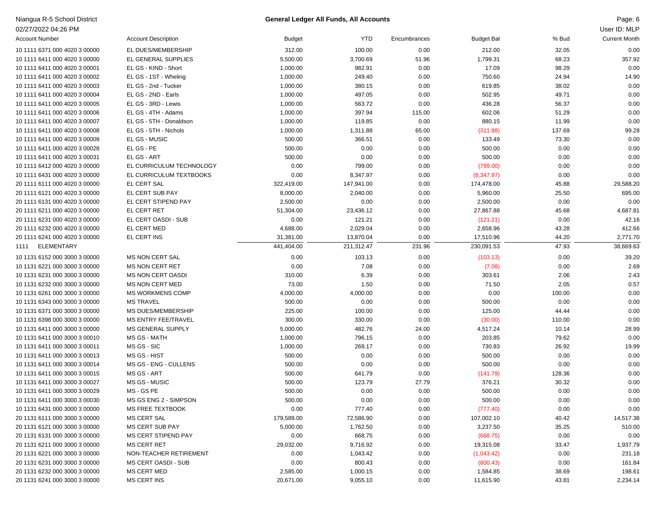| Niangua R-5 School District   |                              |            | General Ledger All Funds, All Accounts |              |                   |        | Page: 6              |
|-------------------------------|------------------------------|------------|----------------------------------------|--------------|-------------------|--------|----------------------|
| 02/27/2022 04:26 PM           |                              |            |                                        |              |                   |        | User ID: MLP         |
| <b>Account Number</b>         | <b>Account Description</b>   | Budget     | <b>YTD</b>                             | Encumbrances | <b>Budget Bal</b> | % Bud  | <b>Current Month</b> |
| 10 1111 6371 000 4020 3 00000 | EL DUES/MEMBERSHIP           | 312.00     | 100.00                                 | 0.00         | 212.00            | 32.05  | 0.00                 |
| 10 1111 6411 000 4020 3 00000 | EL GENERAL SUPPLIES          | 5,500.00   | 3,700.69                               | 51.96        | 1,799.31          | 68.23  | 357.92               |
| 10 1111 6411 000 4020 3 00001 | EL GS - KIND - Short         | 1,000.00   | 982.91                                 | 0.00         | 17.09             | 98.29  | 0.00                 |
| 10 1111 6411 000 4020 3 00002 | EL GS - 1ST - Wheling        | 1,000.00   | 249.40                                 | 0.00         | 750.60            | 24.94  | 14.90                |
| 10 1111 6411 000 4020 3 00003 | EL GS - 2nd - Tucker         | 1,000.00   | 380.15                                 | 0.00         | 619.85            | 38.02  | 0.00                 |
| 10 1111 6411 000 4020 3 00004 | EL GS - 2ND - Earls          | 1,000.00   | 497.05                                 | 0.00         | 502.95            | 49.71  | 0.00                 |
| 10 1111 6411 000 4020 3 00005 | EL GS - 3RD - Lewis          | 1,000.00   | 563.72                                 | 0.00         | 436.28            | 56.37  | 0.00                 |
| 10 1111 6411 000 4020 3 00006 | EL GS - 4TH - Adams          | 1,000.00   | 397.94                                 | 115.00       | 602.06            | 51.29  | 0.00                 |
| 10 1111 6411 000 4020 3 00007 | EL GS - 5TH - Donaldson      | 1,000.00   | 119.85                                 | 0.00         | 880.15            | 11.99  | 0.00                 |
| 10 1111 6411 000 4020 3 00008 | EL GS - 5TH - Nichols        | 1,000.00   | 1,311.88                               | 65.00        | (311.88)          | 137.69 | 99.28                |
| 10 1111 6411 000 4020 3 00009 | EL GS - MUSIC                | 500.00     | 366.51                                 | 0.00         | 133.49            | 73.30  | 0.00                 |
| 10 1111 6411 000 4020 3 00028 | EL GS - PE                   | 500.00     | 0.00                                   | 0.00         | 500.00            | 0.00   | 0.00                 |
| 10 1111 6411 000 4020 3 00031 | EL GS - ART                  | 500.00     | 0.00                                   | 0.00         | 500.00            | 0.00   | 0.00                 |
| 10 1111 6412 000 4020 3 00000 | EL CURRICULUM TECHNOLOGY     | 0.00       | 799.00                                 | 0.00         | (799.00)          | 0.00   | 0.00                 |
| 10 1111 6431 000 4020 3 00000 | EL CURRICULUM TEXTBOOKS      | 0.00       | 8,347.97                               | 0.00         | (8,347.97)        | 0.00   | 0.00                 |
| 20 1111 6111 000 4020 3 00000 | EL CERT SAL                  | 322,419.00 | 147,941.00                             | 0.00         | 174,478.00        | 45.88  | 29,588.20            |
| 20 1111 6121 000 4020 3 00000 | EL CERT SUB PAY              | 8,000.00   | 2,040.00                               | 0.00         | 5,960.00          | 25.50  | 695.00               |
| 20 1111 6131 000 4020 3 00000 | EL CERT STIPEND PAY          | 2,500.00   | 0.00                                   | 0.00         | 2,500.00          | 0.00   | 0.00                 |
| 20 1111 6211 000 4020 3 00000 | EL CERT RET                  | 51,304.00  | 23,436.12                              | 0.00         | 27,867.88         | 45.68  | 4,687.81             |
| 20 1111 6231 000 4020 3 00000 | EL CERT OASDI - SUB          | 0.00       | 121.21                                 | 0.00         | (121.21)          | 0.00   | 42.16                |
| 20 1111 6232 000 4020 3 00000 | EL CERT MED                  | 4,688.00   | 2,029.04                               | 0.00         | 2,658.96          | 43.28  | 412.66               |
| 20 1111 6241 000 4020 3 00000 | EL CERT INS                  | 31,381.00  | 13,870.04                              | 0.00         | 17,510.96         | 44.20  | 2,771.70             |
| ELEMENTARY<br>1111            |                              | 441,404.00 | 211,312.47                             | 231.96       | 230,091.53        | 47.93  | 38,669.63            |
|                               |                              |            |                                        |              |                   |        |                      |
| 10 1131 6152 000 3000 3 00000 | <b>MS NON CERT SAL</b>       | 0.00       | 103.13                                 | 0.00         | (103.13)          | 0.00   | 39.20                |
| 10 1131 6221 000 3000 3 00000 | <b>MS NON CERT RET</b>       | 0.00       | 7.08                                   | 0.00         | (7.08)            | 0.00   | 2.69                 |
| 10 1131 6231 000 3000 3 00000 | <b>MS NON CERT OASDI</b>     | 310.00     | 6.39                                   | 0.00         | 303.61            | 2.06   | 2.43                 |
| 10 1131 6232 000 3000 3 00000 | <b>MS NON CERT MED</b>       | 73.00      | 1.50                                   | 0.00         | 71.50             | 2.05   | 0.57                 |
| 10 1131 6261 000 3000 3 00000 | <b>MS WORKMENS COMP</b>      | 4,000.00   | 4,000.00                               | 0.00         | 0.00              | 100.00 | 0.00                 |
| 10 1131 6343 000 3000 3 00000 | <b>MS TRAVEL</b>             | 500.00     | 0.00                                   | 0.00         | 500.00            | 0.00   | 0.00                 |
| 10 1131 6371 000 3000 3 00000 | MS DUES/MEMBERSHIP           | 225.00     | 100.00                                 | 0.00         | 125.00            | 44.44  | 0.00                 |
| 10 1131 6398 000 3000 3 00000 | <b>MS ENTRY FEE/TRAVEL</b>   | 300.00     | 330.00                                 | 0.00         | (30.00)           | 110.00 | 0.00                 |
| 10 1131 6411 000 3000 3 00000 | MS GENERAL SUPPLY            | 5,000.00   | 482.76                                 | 24.00        | 4,517.24          | 10.14  | 28.99                |
| 10 1131 6411 000 3000 3 00010 | MS GS - MATH                 | 1,000.00   | 796.15                                 | 0.00         | 203.85            | 79.62  | 0.00                 |
| 10 1131 6411 000 3000 3 00011 | MS GS - SIC                  | 1,000.00   | 269.17                                 | 0.00         | 730.83            | 26.92  | 19.99                |
| 10 1131 6411 000 3000 3 00013 | MS GS - HIST                 | 500.00     | 0.00                                   | 0.00         | 500.00            | 0.00   | 0.00                 |
| 10 1131 6411 000 3000 3 00014 | <b>MS GS - ENG - CULLENS</b> | 500.00     | 0.00                                   | 0.00         | 500.00            | 0.00   | 0.00                 |
| 10 1131 6411 000 3000 3 00015 | MS GS - ART                  | 500.00     | 641.79                                 | 0.00         | (141.79)          | 128.36 | 0.00                 |
| 10 1131 6411 000 3000 3 00027 | MS GS - MUSIC                | 500.00     | 123.79                                 | 27.79        | 376.21            | 30.32  | 0.00                 |
| 10 1131 6411 000 3000 3 00029 | MS - GS PE                   | 500.00     | 0.00                                   | 0.00         | 500.00            | 0.00   | 0.00                 |
| 10 1131 6411 000 3000 3 00030 | MS GS ENG 2 - SIMPSON        | 500.00     | 0.00                                   | 0.00         | 500.00            | 0.00   | 0.00                 |
| 10 1131 6431 000 3000 3 00000 | MS FREE TEXTBOOK             | 0.00       | 777.40                                 | 0.00         | (777.40)          | 0.00   | 0.00                 |
| 20 1131 6111 000 3000 3 00000 | <b>MS CERT SAL</b>           | 179,589.00 | 72,586.90                              | 0.00         | 107,002.10        | 40.42  | 14,517.38            |
| 20 1131 6121 000 3000 3 00000 | <b>MS CERT SUB PAY</b>       | 5,000.00   | 1,762.50                               | 0.00         | 3,237.50          | 35.25  | 510.00               |
| 20 1131 6131 000 3000 3 00000 | MS CERT STIPEND PAY          | 0.00       | 668.75                                 | 0.00         | (668.75)          | 0.00   | 0.00                 |
| 20 1131 6211 000 3000 3 00000 | <b>MS CERT RET</b>           | 29,032.00  | 9,716.92                               | 0.00         | 19,315.08         | 33.47  | 1,937.79             |
| 20 1131 6221 000 3000 3 00000 | NON-TEACHER RETIREMENT       | 0.00       | 1,043.42                               | 0.00         | (1,043.42)        | 0.00   | 231.18               |
| 20 1131 6231 000 3000 3 00000 | MS CERT OASDI - SUB          | 0.00       | 800.43                                 | 0.00         | (800.43)          | 0.00   | 161.84               |
| 20 1131 6232 000 3000 3 00000 | <b>MS CERT MED</b>           | 2,585.00   | 1,000.15                               | 0.00         | 1,584.85          | 38.69  | 198.61               |
| 20 1131 6241 000 3000 3 00000 | <b>MS CERT INS</b>           | 20,671.00  | 9,055.10                               | 0.00         | 11,615.90         | 43.81  | 2,234.14             |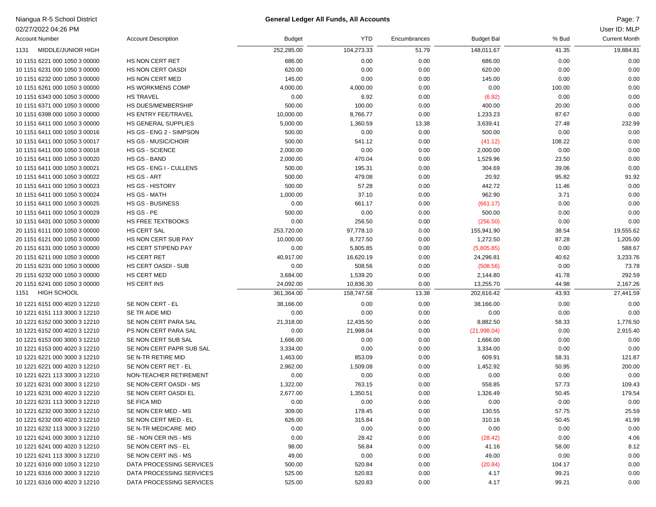### Niangua R-5 School District Page: 7 **General Ledger All Funds, All Accounts**

| User ID: MLP |  |  |  |
|--------------|--|--|--|
|--------------|--|--|--|

| 02/27/2022 04:26 PM           |                            |               |            |              |                   |        | User ID: MLP         |
|-------------------------------|----------------------------|---------------|------------|--------------|-------------------|--------|----------------------|
| <b>Account Number</b>         | <b>Account Description</b> | <b>Budget</b> | YTD        | Encumbrances | <b>Budget Bal</b> | % Bud  | <b>Current Month</b> |
| MIDDLE/JUNIOR HIGH<br>1131    |                            | 252,285.00    | 104,273.33 | 51.79        | 148,011.67        | 41.35  | 19,884.81            |
| 10 1151 6221 000 1050 3 00000 | HS NON CERT RET            | 686.00        | 0.00       | 0.00         | 686.00            | 0.00   | 0.00                 |
| 10 1151 6231 000 1050 3 00000 | <b>HS NON CERT OASDI</b>   | 620.00        | 0.00       | 0.00         | 620.00            | 0.00   | 0.00                 |
| 10 1151 6232 000 1050 3 00000 | HS NON CERT MED            | 145.00        | 0.00       | 0.00         | 145.00            | 0.00   | 0.00                 |
| 10 1151 6261 000 1050 3 00000 | HS WORKMENS COMP           | 4,000.00      | 4,000.00   | 0.00         | 0.00              | 100.00 | 0.00                 |
| 10 1151 6343 000 1050 3 00000 | <b>HS TRAVEL</b>           | 0.00          | 6.92       | 0.00         | (6.92)            | 0.00   | 0.00                 |
| 10 1151 6371 000 1050 3 00000 | HS DUES/MEMBERSHIP         | 500.00        | 100.00     | 0.00         | 400.00            | 20.00  | 0.00                 |
| 10 1151 6398 000 1050 3 00000 | HS ENTRY FEE/TRAVEL        | 10,000.00     | 8,766.77   | 0.00         | 1,233.23          | 87.67  | 0.00                 |
| 10 1151 6411 000 1050 3 00000 | HS GENERAL SUPPLIES        | 5,000.00      | 1,360.59   | 13.38        | 3,639.41          | 27.48  | 232.99               |
| 10 1151 6411 000 1050 3 00016 | HS GS - ENG 2 - SIMPSON    | 500.00        | 0.00       | 0.00         | 500.00            | 0.00   | 0.00                 |
| 10 1151 6411 000 1050 3 00017 | <b>HS GS - MUSIC/CHOIR</b> | 500.00        | 541.12     | 0.00         | (41.12)           | 108.22 | 0.00                 |
| 10 1151 6411 000 1050 3 00018 | <b>HS GS - SCIENCE</b>     | 2,000.00      | 0.00       | 0.00         | 2,000.00          | 0.00   | 0.00                 |
| 10 1151 6411 000 1050 3 00020 | HS GS - BAND               | 2,000.00      | 470.04     | 0.00         | 1,529.96          | 23.50  | 0.00                 |
| 10 1151 6411 000 1050 3 00021 | HS GS - ENG I - CULLENS    | 500.00        | 195.31     | 0.00         | 304.69            | 39.06  | 0.00                 |
| 10 1151 6411 000 1050 3 00022 | HS GS - ART                | 500.00        | 479.08     | 0.00         | 20.92             | 95.82  | 91.92                |
| 10 1151 6411 000 1050 3 00023 | <b>HS GS - HISTORY</b>     | 500.00        | 57.28      | 0.00         | 442.72            | 11.46  | 0.00                 |
| 10 1151 6411 000 1050 3 00024 | HS GS - MATH               | 1,000.00      | 37.10      | 0.00         | 962.90            | 3.71   | 0.00                 |
| 10 1151 6411 000 1050 3 00025 | <b>HS GS - BUSINESS</b>    | 0.00          | 661.17     | 0.00         | (661.17)          | 0.00   | 0.00                 |
| 10 1151 6411 000 1050 3 00029 | HS GS - PE                 | 500.00        | 0.00       | 0.00         | 500.00            | 0.00   | 0.00                 |
| 10 1151 6431 000 1050 3 00000 | <b>HS FREE TEXTBOOKS</b>   | 0.00          | 256.50     | 0.00         | (256.50)          | 0.00   | 0.00                 |
| 20 1151 6111 000 1050 3 00000 | HS CERT SAL                | 253,720.00    | 97,778.10  | 0.00         | 155,941.90        | 38.54  | 19,555.62            |
| 20 1151 6121 000 1050 3 00000 | HS NON CERT SUB PAY        | 10,000.00     | 8,727.50   | 0.00         | 1,272.50          | 87.28  | 1,205.00             |
| 20 1151 6131 000 1050 3 00000 | HS CERT STIPEND PAY        | 0.00          | 5,805.85   | 0.00         | (5,805.85)        | 0.00   | 588.67               |
| 20 1151 6211 000 1050 3 00000 | HS CERT RET                | 40,917.00     | 16,620.19  | 0.00         | 24,296.81         | 40.62  | 3,233.76             |
| 20 1151 6231 000 1050 3 00000 | <b>HS CERT OASDI - SUB</b> | 0.00          | 508.56     | 0.00         | (508.56)          | 0.00   | 73.78                |
| 20 1151 6232 000 1050 3 00000 | HS CERT MED                | 3,684.00      | 1,539.20   | 0.00         | 2,144.80          | 41.78  | 292.59               |
| 20 1151 6241 000 1050 3 00000 | HS CERT INS                | 24,092.00     | 10,836.30  | 0.00         | 13,255.70         | 44.98  | 2,167.26             |
| <b>HIGH SCHOOL</b><br>1151    |                            | 361,364.00    | 158,747.58 | 13.38        | 202,616.42        | 43.93  | 27,441.59            |
| 10 1221 6151 000 4020 3 12210 | SE NON CERT - EL           | 38,166.00     | 0.00       | 0.00         | 38,166.00         | 0.00   | 0.00                 |
| 10 1221 6151 113 3000 3 12210 | SE TR AIDE MID             | 0.00          | 0.00       | 0.00         | 0.00              | 0.00   | 0.00                 |
| 10 1221 6152 000 3000 3 12210 | SE NON CERT PARA SAL       | 21,318.00     | 12,435.50  | 0.00         | 8,882.50          | 58.33  | 1,776.50             |
| 10 1221 6152 000 4020 3 12210 | PS NON CERT PARA SAL       | 0.00          | 21,998.04  | 0.00         | (21,998.04)       | 0.00   | 2,915.40             |
| 10 1221 6153 000 3000 3 12210 | SE NON CERT SUB SAL        | 1,666.00      | 0.00       | 0.00         | 1,666.00          | 0.00   | 0.00                 |
| 10 1221 6153 000 4020 3 12210 | SE NON CERT PAPR SUB SAL   | 3,334.00      | 0.00       | 0.00         | 3,334.00          | 0.00   | 0.00                 |
| 10 1221 6221 000 3000 3 12210 | SE N-TR RETIRE MID         | 1,463.00      | 853.09     | 0.00         | 609.91            | 58.31  | 121.87               |
| 10 1221 6221 000 4020 3 12210 | SE NON CERT RET - EL       | 2,962.00      | 1,509.08   | 0.00         | 1,452.92          | 50.95  | 200.00               |
| 10 1221 6221 113 3000 3 12210 | NON-TEACHER RETIREMENT     | 0.00          | 0.00       | 0.00         | 0.00              | 0.00   | 0.00                 |
| 10 1221 6231 000 3000 3 12210 | SE NON-CERT OASDI - MS     | 1,322.00      | 763.15     | 0.00         | 558.85            | 57.73  | 109.43               |
| 10 1221 6231 000 4020 3 12210 | SE NON CERT OASDI EL       | 2,677.00      | 1,350.51   | 0.00         | 1,326.49          | 50.45  | 179.54               |
| 10 1221 6231 113 3000 3 12210 | SE FICA MID                | 0.00          | 0.00       | 0.00         | 0.00              | 0.00   | 0.00                 |
| 10 1221 6232 000 3000 3 12210 | SE NON CER MED - MS        | 309.00        | 178.45     | 0.00         | 130.55            | 57.75  | 25.59                |
| 10 1221 6232 000 4020 3 12210 | SE NON CERT MED - EL       | 626.00        | 315.84     | 0.00         | 310.16            | 50.45  | 41.99                |
| 10 1221 6232 113 3000 3 12210 | SE N-TR MEDICARE MID       | 0.00          | 0.00       | 0.00         | 0.00              | 0.00   | 0.00                 |
| 10 1221 6241 000 3000 3 12210 | SE - NON CER INS - MS      | 0.00          | 28.42      | 0.00         | (28.42)           | 0.00   | 4.06                 |
| 10 1221 6241 000 4020 3 12210 | SE NON CERT INS - EL       | 98.00         | 56.84      | 0.00         | 41.16             | 58.00  | 8.12                 |
| 10 1221 6241 113 3000 3 12210 | SE NON CERT INS - MS       | 49.00         | 0.00       | 0.00         | 49.00             | 0.00   | 0.00                 |
| 10 1221 6316 000 1050 3 12210 | DATA PROCESSING SERVICES   | 500.00        | 520.84     | 0.00         | (20.84)           | 104.17 | 0.00                 |
| 10 1221 6316 000 3000 3 12210 | DATA PROCESSING SERVICES   | 525.00        | 520.83     | 0.00         | 4.17              | 99.21  | 0.00                 |
| 10 1221 6316 000 4020 3 12210 | DATA PROCESSING SERVICES   | 525.00        | 520.83     | 0.00         | 4.17              | 99.21  | 0.00                 |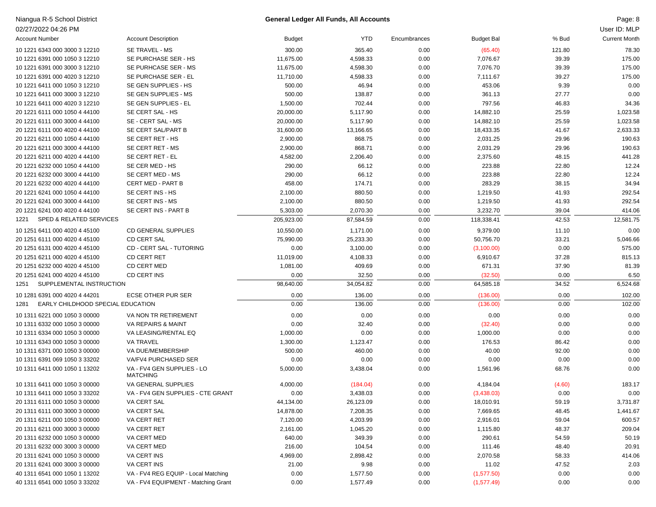| Niangua R-5 School District               |                                               |               | <b>General Ledger All Funds, All Accounts</b> |              |                   |        | Page: 8              |
|-------------------------------------------|-----------------------------------------------|---------------|-----------------------------------------------|--------------|-------------------|--------|----------------------|
| 02/27/2022 04:26 PM                       |                                               |               |                                               |              |                   |        | User ID: MLP         |
| <b>Account Number</b>                     | <b>Account Description</b>                    | <b>Budget</b> | <b>YTD</b>                                    | Encumbrances | <b>Budget Bal</b> | % Bud  | <b>Current Month</b> |
| 10 1221 6343 000 3000 3 12210             | SE TRAVEL - MS                                | 300.00        | 365.40                                        | 0.00         | (65.40)           | 121.80 | 78.30                |
| 10 1221 6391 000 1050 3 12210             | SE PURCHASE SER - HS                          | 11,675.00     | 4,598.33                                      | 0.00         | 7,076.67          | 39.39  | 175.00               |
| 10 1221 6391 000 3000 3 12210             | SE PURHCASE SER - MS                          | 11,675.00     | 4,598.30                                      | 0.00         | 7,076.70          | 39.39  | 175.00               |
| 10 1221 6391 000 4020 3 12210             | SE PURCHASE SER - EL                          | 11,710.00     | 4,598.33                                      | 0.00         | 7,111.67          | 39.27  | 175.00               |
| 10 1221 6411 000 1050 3 12210             | SE GEN SUPPLIES - HS                          | 500.00        | 46.94                                         | 0.00         | 453.06            | 9.39   | 0.00                 |
| 10 1221 6411 000 3000 3 12210             | SE GEN SUPPLIES - MS                          | 500.00        | 138.87                                        | 0.00         | 361.13            | 27.77  | 0.00                 |
| 10 1221 6411 000 4020 3 12210             | SE GEN SUPPLIES - EL                          | 1,500.00      | 702.44                                        | 0.00         | 797.56            | 46.83  | 34.36                |
| 20 1221 6111 000 1050 4 44100             | SE CERT SAL - HS                              | 20,000.00     | 5,117.90                                      | 0.00         | 14,882.10         | 25.59  | 1,023.58             |
| 20 1221 6111 000 3000 4 44100             | SE - CERT SAL - MS                            | 20,000.00     | 5,117.90                                      | 0.00         | 14,882.10         | 25.59  | 1,023.58             |
| 20 1221 6111 000 4020 4 44100             | SE CERT SAL/PART B                            | 31,600.00     | 13,166.65                                     | 0.00         | 18,433.35         | 41.67  | 2,633.33             |
| 20 1221 6211 000 1050 4 44100             | SE CERT RET - HS                              | 2,900.00      | 868.75                                        | 0.00         | 2,031.25          | 29.96  | 190.63               |
| 20 1221 6211 000 3000 4 44100             | SE CERT RET - MS                              | 2,900.00      | 868.71                                        | 0.00         | 2,031.29          | 29.96  | 190.63               |
| 20 1221 6211 000 4020 4 44100             | SE CERT RET - EL                              | 4,582.00      | 2,206.40                                      | 0.00         | 2,375.60          | 48.15  | 441.28               |
| 20 1221 6232 000 1050 4 44100             | SE CER MED - HS                               | 290.00        | 66.12                                         | 0.00         | 223.88            | 22.80  | 12.24                |
| 20 1221 6232 000 3000 4 44100             | SE CERT MED - MS                              | 290.00        | 66.12                                         | 0.00         | 223.88            | 22.80  | 12.24                |
| 20 1221 6232 000 4020 4 44100             | <b>CERT MED - PART B</b>                      | 458.00        | 174.71                                        | 0.00         | 283.29            | 38.15  | 34.94                |
| 20 1221 6241 000 1050 4 44100             | SE CERT INS - HS                              | 2,100.00      | 880.50                                        | 0.00         | 1,219.50          | 41.93  | 292.54               |
| 20 1221 6241 000 3000 4 44100             | SE CERT INS - MS                              | 2,100.00      | 880.50                                        | 0.00         | 1,219.50          | 41.93  | 292.54               |
| 20 1221 6241 000 4020 4 44100             | SE CERT INS - PART B                          | 5,303.00      | 2,070.30                                      | 0.00         | 3,232.70          | 39.04  | 414.06               |
| SPED & RELATED SERVICES<br>1221           |                                               | 205,923.00    | 87,584.59                                     | 0.00         | 118,338.41        | 42.53  | 12,581.75            |
| 10 1251 6411 000 4020 4 45100             | <b>CD GENERAL SUPPLIES</b>                    | 10,550.00     | 1,171.00                                      | 0.00         | 9,379.00          | 11.10  | 0.00                 |
| 20 1251 6111 000 4020 4 45100             | <b>CD CERT SAL</b>                            | 75,990.00     | 25,233.30                                     | 0.00         | 50,756.70         | 33.21  | 5,046.66             |
| 20 1251 6131 000 4020 4 45100             | <b>CD - CERT SAL - TUTORING</b>               | 0.00          | 3,100.00                                      | 0.00         | (3,100.00)        | 0.00   | 575.00               |
| 20 1251 6211 000 4020 4 45100             | <b>CD CERT RET</b>                            | 11,019.00     | 4,108.33                                      | 0.00         | 6,910.67          | 37.28  | 815.13               |
| 20 1251 6232 000 4020 4 45100             | CD CERT MED                                   | 1,081.00      | 409.69                                        | 0.00         | 671.31            | 37.90  | 81.39                |
| 20 1251 6241 000 4020 4 45100             | CD CERT INS                                   | 0.00          | 32.50                                         | 0.00         | (32.50)           | 0.00   | 6.50                 |
| SUPPLEMENTAL INSTRUCTION<br>1251          |                                               | 98,640.00     | 34,054.82                                     | 0.00         | 64,585.18         | 34.52  | 6,524.68             |
| 10 1281 6391 000 4020 4 44201             | ECSE OTHER PUR SER                            | 0.00          | 136.00                                        | 0.00         | (136.00)          | 0.00   | 102.00               |
| EARLY CHILDHOOD SPECIAL EDUCATION<br>1281 |                                               | 0.00          | 136.00                                        | 0.00         | (136.00)          | 0.00   | 102.00               |
| 10 1311 6221 000 1050 3 00000             | VA NON TR RETIREMENT                          | 0.00          | 0.00                                          | 0.00         | 0.00              | 0.00   | 0.00                 |
| 10 1311 6332 000 1050 3 00000             | VA REPAIRS & MAINT                            | 0.00          | 32.40                                         | 0.00         | (32.40)           | 0.00   | 0.00                 |
| 10 1311 6334 000 1050 3 00000             | VA LEASING/RENTAL EQ                          | 1,000.00      | 0.00                                          | 0.00         | 1,000.00          | 0.00   | 0.00                 |
| 10 1311 6343 000 1050 3 00000             | <b>VA TRAVEL</b>                              | 1,300.00      | 1,123.47                                      | 0.00         | 176.53            | 86.42  | 0.00                 |
| 10 1311 6371 000 1050 3 00000             | VA DUE/MEMBERSHIP                             | 500.00        | 460.00                                        | 0.00         | 40.00             | 92.00  | 0.00                 |
| 10 1311 6391 069 1050 3 33202             | VA/FV4 PURCHASED SER                          | 0.00          | 0.00                                          | 0.00         | 0.00              | 0.00   | 0.00                 |
| 10 1311 6411 000 1050 1 13202             | VA - FV4 GEN SUPPLIES - LO<br><b>MATCHING</b> | 5,000.00      | 3,438.04                                      | 0.00         | 1,561.96          | 68.76  | 0.00                 |
| 10 1311 6411 000 1050 3 00000             | VA GENERAL SUPPLIES                           | 4,000.00      | (184.04)                                      | 0.00         | 4,184.04          | (4.60) | 183.17               |
| 10 1311 6411 000 1050 3 33202             | VA - FV4 GEN SUPPLIES - CTE GRANT             | 0.00          | 3,438.03                                      | 0.00         | (3,438.03)        | 0.00   | 0.00                 |
| 20 1311 6111 000 1050 3 00000             | VA CERT SAL                                   | 44,134.00     | 26,123.09                                     | 0.00         | 18,010.91         | 59.19  | 3,731.87             |
| 20 1311 6111 000 3000 3 00000             | VA CERT SAL                                   | 14,878.00     | 7,208.35                                      | 0.00         | 7,669.65          | 48.45  | 1,441.67             |
| 20 1311 6211 000 1050 3 00000             | VA CERT RET                                   | 7,120.00      | 4,203.99                                      | 0.00         | 2,916.01          | 59.04  | 600.57               |
| 20 1311 6211 000 3000 3 00000             | VA CERT RET                                   | 2,161.00      | 1,045.20                                      | 0.00         | 1,115.80          | 48.37  | 209.04               |
| 20 1311 6232 000 1050 3 00000             | VA CERT MED                                   | 640.00        | 349.39                                        | 0.00         | 290.61            | 54.59  | 50.19                |
| 20 1311 6232 000 3000 3 00000             | VA CERT MED                                   | 216.00        | 104.54                                        | 0.00         | 111.46            | 48.40  | 20.91                |
| 20 1311 6241 000 1050 3 00000             | VA CERT INS                                   | 4,969.00      | 2,898.42                                      | 0.00         | 2,070.58          | 58.33  | 414.06               |
| 20 1311 6241 000 3000 3 00000             | <b>VA CERT INS</b>                            | 21.00         | 9.98                                          | 0.00         | 11.02             | 47.52  | 2.03                 |
| 40 1311 6541 000 1050 1 13202             | VA - FV4 REG EQUIP - Local Matching           | 0.00          | 1,577.50                                      | 0.00         | (1,577.50)        | 0.00   | 0.00                 |
| 40 1311 6541 000 1050 3 33202             | VA - FV4 EQUIPMENT - Matching Grant           | 0.00          | 1,577.49                                      | 0.00         | (1,577.49)        | 0.00   | 0.00                 |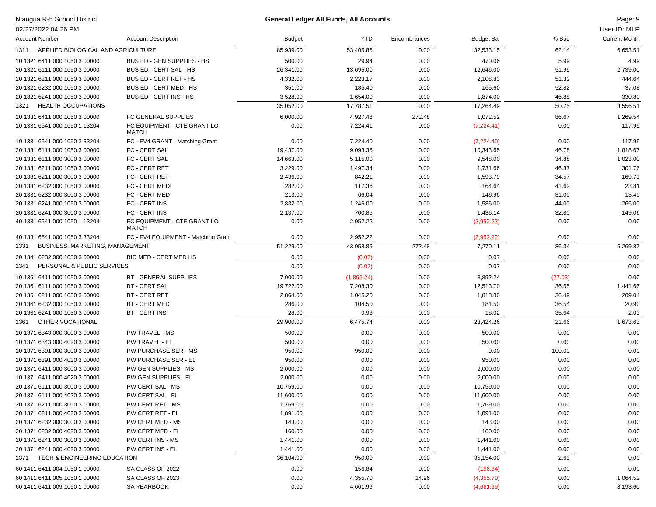# Niangua R-5 School District<br>02/27/2022 04:26 PM

## Niangua R-5 School District Page: 9 **General Ledger All Funds, All Accounts**

Page: 9<br>User ID: MLP

| 02/27/2022 04:26 PM                     |                                             |           |            |              |                   |         | User ID: MLP         |
|-----------------------------------------|---------------------------------------------|-----------|------------|--------------|-------------------|---------|----------------------|
| <b>Account Number</b>                   | <b>Account Description</b>                  | Budget    | YTD        | Encumbrances | <b>Budget Bal</b> | % Bud   | <b>Current Month</b> |
| 1311                                    | APPLIED BIOLOGICAL AND AGRICULTURE          | 85,939.00 | 53,405.85  | 0.00         | 32,533.15         | 62.14   | 6,653.51             |
| 10 1321 6411 000 1050 3 00000           | BUS ED - GEN SUPPLIES - HS                  | 500.00    | 29.94      | 0.00         | 470.06            | 5.99    | 4.99                 |
| 20 1321 6111 000 1050 3 00000           | BUS ED - CERT SAL - HS                      | 26,341.00 | 13,695.00  | 0.00         | 12,646.00         | 51.99   | 2,739.00             |
| 20 1321 6211 000 1050 3 00000           | BUS ED - CERT RET - HS                      | 4,332.00  | 2,223.17   | 0.00         | 2,108.83          | 51.32   | 444.64               |
| 20 1321 6232 000 1050 3 00000           | BUS ED - CERT MED - HS                      | 351.00    | 185.40     | 0.00         | 165.60            | 52.82   | 37.08                |
| 20 1321 6241 000 1050 3 00000           | BUS ED - CERT INS - HS                      | 3,528.00  | 1,654.00   | 0.00         | 1,874.00          | 46.88   | 330.80               |
| <b>HEALTH OCCUPATIONS</b><br>1321       |                                             | 35,052.00 | 17,787.51  | 0.00         | 17,264.49         | 50.75   | 3,556.51             |
| 10 1331 6411 000 1050 3 00000           | FC GENERAL SUPPLIES                         | 6,000.00  | 4,927.48   | 272.48       | 1,072.52          | 86.67   | 1,269.54             |
| 10 1331 6541 000 1050 1 13204           | FC EQUIPMENT - CTE GRANT LO<br><b>MATCH</b> | 0.00      | 7,224.41   | 0.00         | (7,224.41)        | 0.00    | 117.95               |
| 10 1331 6541 000 1050 3 33204           | FC - FV4 GRANT - Matching Grant             | 0.00      | 7,224.40   | 0.00         | (7,224.40)        | 0.00    | 117.95               |
| 20 1331 6111 000 1050 3 00000           | FC - CERT SAL                               | 19,437.00 | 9,093.35   | 0.00         | 10,343.65         | 46.78   | 1,818.67             |
| 20 1331 6111 000 3000 3 00000           | FC - CERT SAL                               | 14,663.00 | 5,115.00   | 0.00         | 9,548.00          | 34.88   | 1,023.00             |
| 20 1331 6211 000 1050 3 00000           | FC - CERT RET                               | 3,229.00  | 1,497.34   | 0.00         | 1,731.66          | 46.37   | 301.76               |
| 20 1331 6211 000 3000 3 00000           | FC - CERT RET                               | 2,436.00  | 842.21     | 0.00         | 1,593.79          | 34.57   | 169.73               |
| 20 1331 6232 000 1050 3 00000           | FC - CERT MEDI                              | 282.00    | 117.36     | 0.00         | 164.64            | 41.62   | 23.81                |
| 20 1331 6232 000 3000 3 00000           | FC - CERT MED                               | 213.00    | 66.04      | 0.00         | 146.96            | 31.00   | 13.40                |
| 20 1331 6241 000 1050 3 00000           | FC - CERT INS                               | 2,832.00  | 1,246.00   | 0.00         | 1,586.00          | 44.00   | 265.00               |
| 20 1331 6241 000 3000 3 00000           | FC - CERT INS                               | 2,137.00  | 700.86     | 0.00         | 1,436.14          | 32.80   | 149.06               |
| 40 1331 6541 000 1050 1 13204           | FC EQUIPMENT - CTE GRANT LO<br><b>MATCH</b> | 0.00      | 2,952.22   | 0.00         | (2,952.22)        | 0.00    | 0.00                 |
| 40 1331 6541 000 1050 3 33204           | FC - FV4 EQUIPMENT - Matching Grant         | 0.00      | 2,952.22   | 0.00         | (2,952.22)        | 0.00    | 0.00                 |
| BUSINESS, MARKETING, MANAGEMENT<br>1331 |                                             | 51,229.00 | 43,958.89  | 272.48       | 7,270.11          | 86.34   | 5,269.87             |
| 20 1341 6232 000 1050 3 00000           | <b>BIO MED - CERT MED HS</b>                | 0.00      | (0.07)     | 0.00         | 0.07              | 0.00    | 0.00                 |
| PERSONAL & PUBLIC SERVICES<br>1341      |                                             | 0.00      | (0.07)     | 0.00         | 0.07              | 0.00    | 0.00                 |
| 10 1361 6411 000 1050 3 00000           | <b>BT - GENERAL SUPPLIES</b>                | 7,000.00  | (1,892.24) | 0.00         | 8,892.24          | (27.03) | 0.00                 |
| 20 1361 6111 000 1050 3 00000           | <b>BT - CERT SAL</b>                        | 19,722.00 | 7,208.30   | 0.00         | 12,513.70         | 36.55   | 1,441.66             |
| 20 1361 6211 000 1050 3 00000           | <b>BT - CERT RET</b>                        | 2,864.00  | 1,045.20   | 0.00         | 1,818.80          | 36.49   | 209.04               |
| 20 1361 6232 000 1050 3 00000           | <b>BT - CERT MED</b>                        | 286.00    | 104.50     | 0.00         | 181.50            | 36.54   | 20.90                |
| 20 1361 6241 000 1050 3 00000           | <b>BT - CERT INS</b>                        | 28.00     | 9.98       | 0.00         | 18.02             | 35.64   | 2.03                 |
| OTHER VOCATIONAL<br>1361                |                                             | 29,900.00 | 6,475.74   | 0.00         | 23,424.26         | 21.66   | 1,673.63             |
| 10 1371 6343 000 3000 3 00000           | PW TRAVEL - MS                              | 500.00    | 0.00       | 0.00         | 500.00            | 0.00    | 0.00                 |
| 10 1371 6343 000 4020 3 00000           | PW TRAVEL - EL                              | 500.00    | 0.00       | 0.00         | 500.00            | 0.00    | 0.00                 |
| 10 1371 6391 000 3000 3 00000           | PW PURCHASE SER - MS                        | 950.00    | 950.00     | 0.00         | 0.00              | 100.00  | 0.00                 |
| 10 1371 6391 000 4020 3 00000           | PW PURCHASE SER - EL                        | 950.00    | 0.00       | 0.00         | 950.00            | 0.00    | 0.00                 |
| 10 1371 6411 000 3000 3 00000           | PW GEN SUPPLIES - MS                        | 2,000.00  | 0.00       | 0.00         | 2,000.00          | 0.00    | 0.00                 |
| 10 1371 6411 000 4020 3 00000           | PW GEN SUPPLIES - EL                        | 2,000.00  | 0.00       | 0.00         | 2,000.00          | 0.00    | 0.00                 |
| 20 1371 6111 000 3000 3 00000           | PW CERT SAL - MS                            | 10,759.00 | 0.00       | 0.00         | 10,759.00         | 0.00    | 0.00                 |
| 20 1371 6111 000 4020 3 00000           | PW CERT SAL - EL                            | 11,600.00 | 0.00       | 0.00         | 11,600.00         | 0.00    | 0.00                 |
| 20 1371 6211 000 3000 3 00000           | PW CERT RET - MS                            | 1,769.00  | 0.00       | 0.00         | 1,769.00          | 0.00    | 0.00                 |
| 20 1371 6211 000 4020 3 00000           | PW CERT RET - EL                            | 1,891.00  | 0.00       | 0.00         | 1,891.00          | 0.00    | 0.00                 |
| 20 1371 6232 000 3000 3 00000           | PW CERT MED - MS                            | 143.00    | 0.00       | 0.00         | 143.00            | 0.00    | 0.00                 |
| 20 1371 6232 000 4020 3 00000           | PW CERT MED - EL                            | 160.00    | 0.00       | 0.00         | 160.00            | 0.00    | 0.00                 |
| 20 1371 6241 000 3000 3 00000           | PW CERT INS - MS                            | 1,441.00  | 0.00       | 0.00         | 1,441.00          | 0.00    | 0.00                 |
| 20 1371 6241 000 4020 3 00000           | PW CERT INS - EL                            | 1,441.00  | 0.00       | 0.00         | 1,441.00          | 0.00    | 0.00                 |
| TECH & ENGINEERING EDUCATION<br>1371    |                                             | 36,104.00 | 950.00     | 0.00         | 35,154.00         | 2.63    | 0.00                 |
| 60 1411 6411 004 1050 1 00000           | SA CLASS OF 2022                            | 0.00      | 156.84     | 0.00         | (156.84)          | 0.00    | 0.00                 |
| 60 1411 6411 005 1050 1 00000           | SA CLASS OF 2023                            | 0.00      | 4,355.70   | 14.96        | (4,355.70)        | 0.00    | 1,064.52             |
|                                         | SA YEARBOOK                                 | 0.00      | 4,661.99   | 0.00         | (4,661.99)        | 0.00    | 3,193.60             |
| 60 1411 6411 009 1050 1 00000           |                                             |           |            |              |                   |         |                      |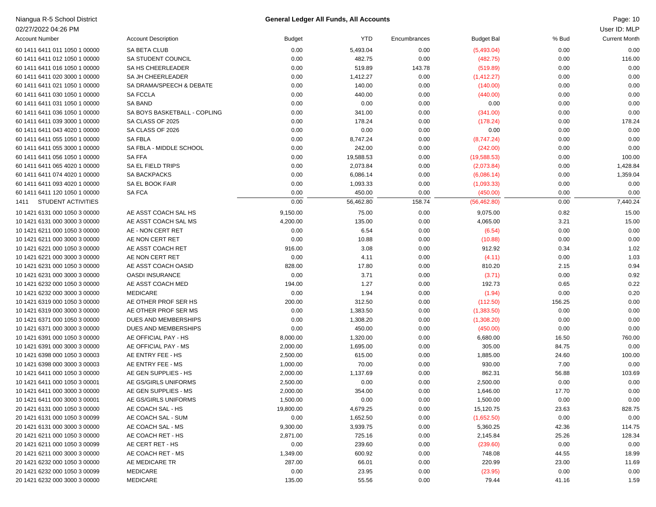| Niangua R-5 School District |  |  |  |  |
|-----------------------------|--|--|--|--|
|-----------------------------|--|--|--|--|

### Niangua R-5 School District Page: 10 **General Ledger All Funds, All Accounts**

| Page: 10 |  |
|----------|--|
|----------|--|

| 02/27/2022 04:26 PM                                            |                                    |                |                |              |                   |               | User ID: MLP         |
|----------------------------------------------------------------|------------------------------------|----------------|----------------|--------------|-------------------|---------------|----------------------|
| <b>Account Number</b>                                          | <b>Account Description</b>         | <b>Budget</b>  | <b>YTD</b>     | Encumbrances | <b>Budget Bal</b> | % Bud         | <b>Current Month</b> |
| 60 1411 6411 011 1050 1 00000                                  | SA BETA CLUB                       | 0.00           | 5,493.04       | 0.00         | (5,493.04)        | 0.00          | 0.00                 |
| 60 1411 6411 012 1050 1 00000                                  | SA STUDENT COUNCIL                 | 0.00           | 482.75         | 0.00         | (482.75)          | 0.00          | 116.00               |
| 60 1411 6411 016 1050 1 00000                                  | SA HS CHEERLEADER                  | 0.00           | 519.89         | 143.78       | (519.89)          | 0.00          | 0.00                 |
| 60 1411 6411 020 3000 1 00000                                  | SA JH CHEERLEADER                  | 0.00           | 1,412.27       | 0.00         | (1,412.27)        | 0.00          | 0.00                 |
| 60 1411 6411 021 1050 1 00000                                  | SA DRAMA/SPEECH & DEBATE           | 0.00           | 140.00         | 0.00         | (140.00)          | 0.00          | 0.00                 |
| 60 1411 6411 030 1050 1 00000                                  | <b>SA FCCLA</b>                    | 0.00           | 440.00         | 0.00         | (440.00)          | 0.00          | 0.00                 |
| 60 1411 6411 031 1050 1 00000                                  | SA BAND                            | 0.00           | 0.00           | 0.00         | 0.00              | 0.00          | 0.00                 |
| 60 1411 6411 036 1050 1 00000                                  | SA BOYS BASKETBALL - COPLING       | 0.00           | 341.00         | 0.00         | (341.00)          | 0.00          | 0.00                 |
| 60 1411 6411 039 3000 1 00000                                  | SA CLASS OF 2025                   | 0.00           | 178.24         | 0.00         | (178.24)          | 0.00          | 178.24               |
| 60 1411 6411 043 4020 1 00000                                  | SA CLASS OF 2026                   | 0.00           | 0.00           | 0.00         | 0.00              | 0.00          | 0.00                 |
| 60 1411 6411 055 1050 1 00000                                  | <b>SA FBLA</b>                     | 0.00           | 8,747.24       | 0.00         | (8,747.24)        | 0.00          | 0.00                 |
| 60 1411 6411 055 3000 1 00000                                  | SA FBLA - MIDDLE SCHOOL            | 0.00           | 242.00         | 0.00         | (242.00)          | 0.00          | 0.00                 |
| 60 1411 6411 056 1050 1 00000                                  | <b>SAFFA</b>                       | 0.00           | 19,588.53      | 0.00         | (19,588.53)       | 0.00          | 100.00               |
| 60 1411 6411 065 4020 1 00000                                  | SA EL FIELD TRIPS                  | 0.00           | 2,073.84       | 0.00         | (2,073.84)        | 0.00          | 1,428.84             |
| 60 1411 6411 074 4020 1 00000                                  | SA BACKPACKS                       | 0.00           | 6,086.14       | 0.00         | (6,086.14)        | 0.00          | 1,359.04             |
| 60 1411 6411 093 4020 1 00000                                  | SA EL BOOK FAIR                    | 0.00           | 1,093.33       | 0.00         | (1,093.33)        | 0.00          | 0.00                 |
| 60 1411 6411 120 1050 1 00000                                  | <b>SA FCA</b>                      | 0.00           | 450.00         | 0.00         | (450.00)          | 0.00          | 0.00                 |
| <b>STUDENT ACTIVITIES</b><br>1411                              |                                    | 0.00           | 56,462.80      | 158.74       | (56, 462.80)      | 0.00          | 7,440.24             |
| 10 1421 6131 000 1050 3 00000                                  | AE ASST COACH SAL HS               | 9,150.00       | 75.00          | 0.00         | 9,075.00          | 0.82          | 15.00                |
| 10 1421 6131 000 3000 3 00000                                  | AE ASST COACH SAL MS               | 4,200.00       | 135.00         | 0.00         | 4,065.00          | 3.21          | 15.00                |
| 10 1421 6211 000 1050 3 00000                                  | AE - NON CERT RET                  | 0.00           | 6.54           | 0.00         | (6.54)            | 0.00          | 0.00                 |
| 10 1421 6211 000 3000 3 00000                                  | AE NON CERT RET                    | 0.00           | 10.88          | 0.00         | (10.88)           | 0.00          | 0.00                 |
| 10 1421 6221 000 1050 3 00000                                  | AE ASST COACH RET                  | 916.00         | 3.08           | 0.00         | 912.92            | 0.34          | 1.02                 |
| 10 1421 6221 000 3000 3 00000                                  | AE NON CERT RET                    | 0.00           | 4.11           | 0.00         | (4.11)            | 0.00          | 1.03                 |
| 10 1421 6231 000 1050 3 00000                                  | AE ASST COACH OASID                | 828.00         | 17.80          | 0.00         | 810.20            | 2.15          | 0.94                 |
| 10 1421 6231 000 3000 3 00000                                  | <b>OASDI INSURANCE</b>             | 0.00           | 3.71           | 0.00         | (3.71)            | 0.00          | 0.92                 |
| 10 1421 6232 000 1050 3 00000                                  | AE ASST COACH MED                  | 194.00         | 1.27           | 0.00         | 192.73            | 0.65          | 0.22                 |
| 10 1421 6232 000 3000 3 00000                                  | <b>MEDICARE</b>                    | 0.00           | 1.94           | 0.00         | (1.94)            | 0.00          | 0.20                 |
| 10 1421 6319 000 1050 3 00000                                  | AE OTHER PROF SER HS               | 200.00         | 312.50         | 0.00         | (112.50)          | 156.25        | 0.00                 |
| 10 1421 6319 000 3000 3 00000                                  | AE OTHER PROF SER MS               | 0.00           | 1,383.50       | 0.00         | (1,383.50)        | 0.00          | 0.00                 |
| 10 1421 6371 000 1050 3 00000                                  | DUES AND MEMBERSHIPS               | 0.00           | 1,308.20       | 0.00         | (1,308.20)        | 0.00          | 0.00                 |
| 10 1421 6371 000 3000 3 00000                                  | DUES AND MEMBERSHIPS               | 0.00           | 450.00         | 0.00         | (450.00)          | 0.00          | 0.00                 |
| 10 1421 6391 000 1050 3 00000                                  | AE OFFICIAL PAY - HS               | 8,000.00       | 1,320.00       | 0.00         | 6,680.00          | 16.50         | 760.00               |
| 10 1421 6391 000 3000 3 00000                                  | AE OFFICIAL PAY - MS               | 2,000.00       | 1,695.00       | 0.00         | 305.00            | 84.75         | 0.00                 |
| 10 1421 6398 000 1050 3 00003                                  | AE ENTRY FEE - HS                  | 2,500.00       | 615.00         | 0.00         | 1,885.00          | 24.60         | 100.00               |
| 10 1421 6398 000 3000 3 00003                                  | AE ENTRY FEE - MS                  | 1,000.00       | 70.00          | 0.00         | 930.00            | 7.00          | 0.00                 |
| 10 1421 6411 000 1050 3 00000                                  | AE GEN SUPPLIES - HS               | 2,000.00       | 1,137.69       | 0.00         | 862.31            | 56.88         | 103.69               |
| 10 1421 6411 000 1050 3 00001                                  | AE GS/GIRLS UNIFORMS               | 2,500.00       | 0.00           | 0.00         | 2,500.00          | 0.00          | 0.00                 |
| 10 1421 6411 000 3000 3 00000                                  | AE GEN SUPPLIES - MS               | 2,000.00       | 354.00         | 0.00         | 1,646.00          | 17.70         | 0.00                 |
| 10 1421 6411 000 3000 3 00001                                  | AE GS/GIRLS UNIFORMS               | 1,500.00       | 0.00           | 0.00         | 1,500.00          | 0.00          | 0.00                 |
| 20 1421 6131 000 1050 3 00000                                  | AE COACH SAL - HS                  | 19,800.00      | 4,679.25       | 0.00         | 15,120.75         | 23.63         | 828.75               |
| 20 1421 6131 000 1050 3 00099                                  | AE COACH SAL - SUM                 | 0.00           | 1,652.50       | 0.00         | (1,652.50)        | 0.00          | 0.00                 |
| 20 1421 6131 000 3000 3 00000                                  | AE COACH SAL - MS                  | 9,300.00       | 3,939.75       | 0.00         | 5,360.25          | 42.36         | 114.75               |
| 20 1421 6211 000 1050 3 00000                                  | AE COACH RET - HS                  | 2,871.00       | 725.16         | 0.00         | 2,145.84          | 25.26         | 128.34               |
| 20 1421 6211 000 1050 3 00099                                  | AE CERT RET - HS                   | 0.00           | 239.60         | 0.00         | (239.60)          | 0.00          | 0.00                 |
| 20 1421 6211 000 3000 3 00000                                  | AE COACH RET - MS                  | 1,349.00       | 600.92         | 0.00         | 748.08            | 44.55         | 18.99                |
| 20 1421 6232 000 1050 3 00000<br>20 1421 6232 000 1050 3 00099 | AE MEDICARE TR                     | 287.00         | 66.01          | 0.00         | 220.99            | 23.00         | 11.69                |
| 20 1421 6232 000 3000 3 00000                                  | <b>MEDICARE</b><br><b>MEDICARE</b> | 0.00<br>135.00 | 23.95<br>55.56 | 0.00         | (23.95)           | 0.00<br>41.16 | 0.00                 |
|                                                                |                                    |                |                | 0.00         | 79.44             |               | 1.59                 |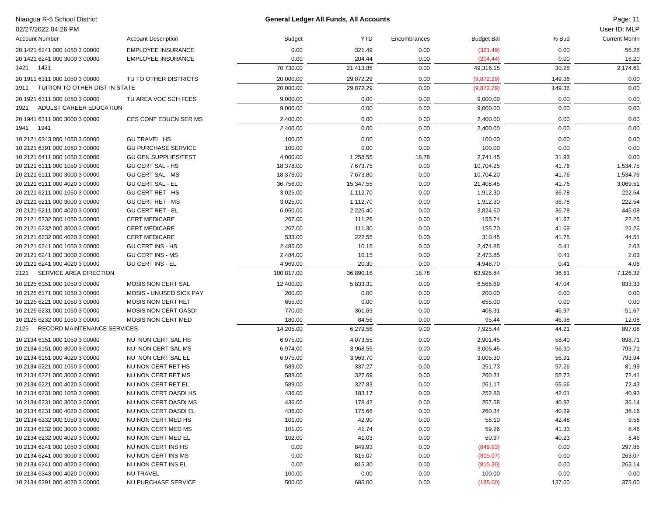| Niangua R-5 School District            |                             |               | <b>General Ledger All Funds, All Accounts</b> |              |                   |        | Page: 11             |
|----------------------------------------|-----------------------------|---------------|-----------------------------------------------|--------------|-------------------|--------|----------------------|
| 02/27/2022 04:26 PM                    |                             |               |                                               |              |                   |        | User ID: MLP         |
| <b>Account Number</b>                  | <b>Account Description</b>  | <b>Budget</b> | <b>YTD</b>                                    | Encumbrances | <b>Budget Bal</b> | % Bud  | <b>Current Month</b> |
| 20 1421 6241 000 1050 3 00000          | <b>EMPLOYEE INSURANCE</b>   | 0.00          | 321.49                                        | 0.00         | (321.49)          | 0.00   | 56.28                |
| 20 1421 6241 000 3000 3 00000          | <b>EMPLOYEE INSURANCE</b>   | 0.00          | 204.44                                        | 0.00         | (204.44)          | 0.00   | 16.20                |
| 1421<br>1421                           |                             | 70,730.00     | 21,413.85                                     | 0.00         | 49,316.15         | 30.28  | 2,174.61             |
| 20 1911 6311 000 1050 3 00000          | TU TO OTHER DISTRICTS       | 20,000.00     | 29,872.29                                     | 0.00         | (9,872.29)        | 149.36 | 0.00                 |
| TUITION TO OTHER DIST IN STATE<br>1911 |                             | 20,000.00     | 29,872.29                                     | 0.00         | (9,872.29)        | 149.36 | 0.00                 |
| 20 1921 6311 000 1050 3 00000          | TU AREA VOC SCH FEES        | 9,000.00      | 0.00                                          | 0.00         | 9,000.00          | 0.00   | 0.00                 |
| ADULST CAREER EDUCATION<br>1921        |                             | 9,000.00      | 0.00                                          | 0.00         | 9,000.00          | 0.00   | 0.00                 |
| 20 1941 6311 000 3000 3 00000          | CES CONT EDUCN SER MS       | 2,400.00      | 0.00                                          | 0.00         | 2,400.00          | 0.00   | 0.00                 |
| 1941<br>1941                           |                             | 2,400.00      | 0.00                                          | 0.00         | 2,400.00          | 0.00   | 0.00                 |
| 10 2121 6343 000 1050 3 00000          | <b>GU TRAVEL HS</b>         | 100.00        | 0.00                                          | 0.00         | 100.00            | 0.00   | 0.00                 |
| 10 2121 6391 000 1050 3 00000          | <b>GU PURCHASE SERVICE</b>  | 100.00        | 0.00                                          | 0.00         | 100.00            | 0.00   | 0.00                 |
| 10 2121 6411 000 1050 3 00000          | <b>GU GEN SUPPLIES/TEST</b> | 4,000.00      | 1,258.55                                      | 18.78        | 2,741.45          | 31.93  | 0.00                 |
| 20 2121 6111 000 1050 3 00000          | <b>GU CERT SAL - HS</b>     | 18,378.00     | 7,673.75                                      | 0.00         | 10,704.25         | 41.76  | 1,534.75             |
| 20 2121 6111 000 3000 3 00000          | <b>GU CERT SAL - MS</b>     | 18,378.00     | 7,673.80                                      | 0.00         | 10,704.20         | 41.76  | 1,534.76             |
| 20 2121 6111 000 4020 3 00000          | <b>GU CERT SAL - EL</b>     | 36,756.00     | 15,347.55                                     | 0.00         | 21,408.45         | 41.76  | 3,069.51             |
| 20 2121 6211 000 1050 3 00000          | <b>GU CERT RET - HS</b>     | 3,025.00      | 1,112.70                                      | 0.00         | 1,912.30          | 36.78  | 222.54               |
| 20 2121 6211 000 3000 3 00000          | <b>GU CERT RET - MS</b>     | 3,025.00      | 1,112.70                                      | 0.00         | 1,912.30          | 36.78  | 222.54               |
| 20 2121 6211 000 4020 3 00000          | <b>GU CERT RET - EL</b>     | 6,050.00      | 2,225.40                                      | 0.00         | 3,824.60          | 36.78  | 445.08               |
| 20 2121 6232 000 1050 3 00000          | <b>CERT MEDICARE</b>        | 267.00        | 111.26                                        | 0.00         | 155.74            | 41.67  | 22.25                |
| 20 2121 6232 000 3000 3 00000          | <b>CERT MEDICARE</b>        | 267.00        | 111.30                                        | 0.00         | 155.70            | 41.69  | 22.26                |
| 20 2121 6232 000 4020 3 00000          | <b>CERT MEDICARE</b>        | 533.00        | 222.55                                        | 0.00         | 310.45            | 41.75  | 44.51                |
| 20 2121 6241 000 1050 3 00000          | <b>GU CERT INS - HS</b>     | 2,485.00      | 10.15                                         | 0.00         | 2,474.85          | 0.41   | 2.03                 |
| 20 2121 6241 000 3000 3 00000          | <b>GU CERT INS - MS</b>     | 2,484.00      | 10.15                                         | 0.00         | 2,473.85          | 0.41   | 2.03                 |
| 20 2121 6241 000 4020 3 00000          | <b>GU CERT INS - EL</b>     | 4,969.00      | 20.30                                         | 0.00         | 4,948.70          | 0.41   | 4.06                 |
| SERVICE AREA DIRECTION<br>2121         |                             | 100,817.00    | 36,890.16                                     | 18.78        | 63,926.84         | 36.61  | 7,126.32             |
| 10 2125 6151 000 1050 3 00000          | MOSIS NON CERT SAL          | 12,400.00     | 5,833.31                                      | 0.00         | 6,566.69          | 47.04  | 833.33               |
| 10 2125 6171 000 1050 3 00000          | MOSIS - UNUSED SICK PAY     | 200.00        | 0.00                                          | 0.00         | 200.00            | 0.00   | 0.00                 |
| 10 2125 6221 000 1050 3 00000          | <b>MOSIS NON CERT RET</b>   | 655.00        | 0.00                                          | 0.00         | 655.00            | 0.00   | 0.00                 |
| 10 2125 6231 000 1050 3 00000          | MOSIS NON CERT OASDI        | 770.00        | 361.69                                        | 0.00         | 408.31            | 46.97  | 51.67                |
| 10 2125 6232 000 1050 3 00000          | <b>MOSIS NON CERT MED</b>   | 180.00        | 84.56                                         | 0.00         | 95.44             | 46.98  | 12.08                |
| RECORD MAINTENANCE SERVICES<br>2125    |                             | 14,205.00     | 6,279.56                                      | 0.00         | 7,925.44          | 44.21  | 897.08               |
| 10 2134 6151 000 1050 3 00000          | NU NON CERT SAL HS          | 6,975.00      | 4,073.55                                      | 0.00         | 2,901.45          | 58.40  | 898.71               |
| 10 2134 6151 000 3000 3 00000          | NU NON CERT SAL MS          | 6,974.00      | 3,968.55                                      | 0.00         | 3,005.45          | 56.90  | 793.71               |
| 10 2134 6151 000 4020 3 00000          | NU NON CERT SAL EL          | 6,975.00      | 3,969.70                                      | 0.00         | 3,005.30          | 56.91  | 793.94               |
| 10 2134 6221 000 1050 3 00000          | NU NON CERT RET HS          | 589.00        | 337.27                                        | 0.00         | 251.73            | 57.26  | 81.99                |
| 10 2134 6221 000 3000 3 00000          | NU NON CERT RET MS          | 588.00        | 327.69                                        | 0.00         | 260.31            | 55.73  | 72.41                |
| 10 2134 6221 000 4020 3 00000          | NU NON CERT RET EL          | 589.00        | 327.83                                        | 0.00         | 261.17            | 55.66  | 72.43                |
| 10 2134 6231 000 1050 3 00000          | NU NON CERT OASDI HS        | 436.00        | 183.17                                        | 0.00         | 252.83            | 42.01  | 40.93                |
| 10 2134 6231 000 3000 3 00000          | NU NON CERT OASDI MS        | 436.00        | 178.42                                        | 0.00         | 257.58            | 40.92  | 36.14                |
| 10 2134 6231 000 4020 3 00000          | NU NON CERT OASDI EL        | 436.00        | 175.66                                        | 0.00         | 260.34            | 40.29  | 36.16                |
| 10 2134 6232 000 1050 3 00000          | NU NON CERT MED HS          | 101.00        | 42.90                                         | 0.00         | 58.10             | 42.48  | 9.58                 |
| 10 2134 6232 000 3000 3 00000          | NU NON CERT MED MS          | 101.00        | 41.74                                         | 0.00         | 59.26             | 41.33  | 8.46                 |
| 10 2134 6232 000 4020 3 00000          | NU NON CERT MED EL          | 102.00        | 41.03                                         | 0.00         | 60.97             | 40.23  | 8.46                 |
| 10 2134 6241 000 1050 3 00000          | NU NON CERT INS HS          | 0.00          | 849.93                                        | 0.00         | (849.93)          | 0.00   | 297.85               |
| 10 2134 6241 000 3000 3 00000          | NU NON CERT INS MS          | 0.00          | 815.07                                        | 0.00         | (815.07)          | 0.00   | 263.07               |
| 10 2134 6241 000 4020 3 00000          | NU NON CERT INS EL          | 0.00          | 815.30                                        | 0.00         | (815.30)          | 0.00   | 263.14               |
| 10 2134 6343 000 4020 0 00000          | NU TRAVEL                   | 100.00        | 0.00                                          | 0.00         | 100.00            | 0.00   | 0.00                 |
| 10 2134 6391 000 4020 3 00000          | NU PURCHASE SERVICE         | 500.00        | 685.00                                        | 0.00         | (185.00)          | 137.00 | 375.00               |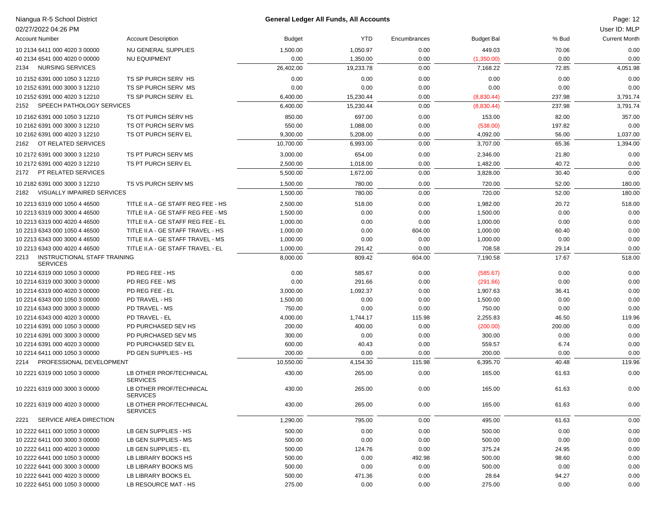| Niangua R-5 School District<br>02/27/2022 04:26 PM                         |                                                                        | <b>General Ledger All Funds, All Accounts</b> |                  |              |                    |                | Page: 12<br>User ID: MLP |
|----------------------------------------------------------------------------|------------------------------------------------------------------------|-----------------------------------------------|------------------|--------------|--------------------|----------------|--------------------------|
| <b>Account Number</b>                                                      | <b>Account Description</b>                                             | <b>Budget</b>                                 | YTD.             | Encumbrances | <b>Budget Bal</b>  | % Bud          | <b>Current Month</b>     |
| 10 2134 6411 000 4020 3 00000                                              | NU GENERAL SUPPLIES                                                    | 1,500.00                                      | 1,050.97         | 0.00         | 449.03             | 70.06          | 0.00                     |
| 40 2134 6541 000 4020 0 00000                                              | <b>NU EQUIPMENT</b>                                                    | 0.00                                          | 1,350.00         | 0.00         | (1,350.00)         | 0.00           | 0.00                     |
| NURSING SERVICES<br>2134                                                   |                                                                        | 26,402.00                                     | 19,233.78        | 0.00         | 7,168.22           | 72.85          | 4,051.98                 |
| 10 2152 6391 000 1050 3 12210                                              | TS SP PURCH SERV HS                                                    | 0.00                                          | 0.00             | 0.00         | 0.00               | 0.00           | 0.00                     |
| 10 2152 6391 000 3000 3 12210                                              | TS SP PURCH SERV MS                                                    | 0.00                                          | 0.00             | 0.00         | 0.00               | 0.00           | 0.00                     |
| 10 2152 6391 000 4020 3 12210                                              | TS SP PURCH SERV EL                                                    | 6,400.00                                      | 15,230.44        | 0.00         | (8,830.44)         | 237.98         | 3,791.74                 |
| SPEECH PATHOLOGY SERVICES<br>2152                                          |                                                                        | 6,400.00                                      | 15,230.44        | 0.00         | (8,830.44)         | 237.98         | 3,791.74                 |
| 10 2162 6391 000 1050 3 12210                                              | TS OT PURCH SERV HS                                                    | 850.00                                        | 697.00           | 0.00         | 153.00             | 82.00          | 357.00                   |
| 10 2162 6391 000 3000 3 12210                                              | TS OT PURCH SERV MS                                                    | 550.00                                        | 1,088.00         | 0.00         | (538.00)           | 197.82         | 0.00                     |
| 10 2162 6391 000 4020 3 12210                                              | TS OT PURCH SERV EL                                                    | 9,300.00                                      | 5,208.00         | 0.00         | 4,092.00           | 56.00          | 1,037.00                 |
| OT RELATED SERVICES<br>2162                                                |                                                                        | 10,700.00                                     | 6,993.00         | 0.00         | 3,707.00           | 65.36          | 1,394.00                 |
| 10 2172 6391 000 3000 3 12210                                              | TS PT PURCH SERV MS                                                    | 3,000.00                                      | 654.00           | 0.00         | 2,346.00           | 21.80          | 0.00                     |
| 10 2172 6391 000 4020 3 12210                                              | TS PT PURCH SERV EL                                                    | 2,500.00                                      | 1,018.00         | 0.00         | 1,482.00           | 40.72          | 0.00                     |
| PT RELATED SERVICES<br>2172                                                |                                                                        | 5,500.00                                      | 1,672.00         | 0.00         | 3,828.00           | 30.40          | 0.00                     |
|                                                                            | TS VS PURCH SERV MS                                                    |                                               |                  |              |                    |                |                          |
| 10 2182 6391 000 3000 3 12210<br><b>VISUALLY IMPAIRED SERVICES</b><br>2182 |                                                                        | 1,500.00                                      | 780.00<br>780.00 | 0.00<br>0.00 | 720.00<br>720.00   | 52.00<br>52.00 | 180.00                   |
|                                                                            |                                                                        | 1,500.00                                      |                  |              |                    |                | 180.00                   |
| 10 2213 6319 000 1050 4 46500                                              | TITLE II.A - GE STAFF REG FEE - HS                                     | 2,500.00                                      | 518.00           | 0.00         | 1,982.00           | 20.72          | 518.00                   |
| 10 2213 6319 000 3000 4 46500                                              | TITLE II.A - GE STAFF REG FEE - MS                                     | 1,500.00                                      | 0.00             | 0.00         | 1,500.00           | 0.00           | 0.00                     |
| 10 2213 6319 000 4020 4 46500                                              | TITLE II.A - GE STAFF REG FEE - EL                                     | 1,000.00                                      | 0.00             | 0.00         | 1,000.00           | 0.00           | 0.00                     |
| 10 2213 6343 000 1050 4 46500                                              | TITLE II.A - GE STAFF TRAVEL - HS                                      | 1,000.00                                      | 0.00             | 604.00       | 1,000.00           | 60.40          | 0.00                     |
| 10 2213 6343 000 3000 4 46500<br>10 2213 6343 000 4020 4 46500             | TITLE II.A - GE STAFF TRAVEL - MS<br>TITLE II.A - GE STAFF TRAVEL - EL | 1,000.00<br>1,000.00                          | 0.00<br>291.42   | 0.00<br>0.00 | 1,000.00<br>708.58 | 0.00<br>29.14  | 0.00<br>0.00             |
| INSTRUCTIONAL STAFF TRAINING<br>2213                                       |                                                                        | 8,000.00                                      | 809.42           | 604.00       | 7,190.58           | 17.67          | 518.00                   |
| <b>SERVICES</b>                                                            |                                                                        |                                               |                  |              |                    |                |                          |
| 10 2214 6319 000 1050 3 00000                                              | PD REG FEE - HS                                                        | 0.00                                          | 585.67           | 0.00         | (585.67)           | 0.00           | 0.00                     |
| 10 2214 6319 000 3000 3 00000                                              | PD REG FEE - MS                                                        | 0.00                                          | 291.66           | 0.00         | (291.66)           | 0.00           | 0.00                     |
| 10 2214 6319 000 4020 3 00000                                              | PD REG FEE - EL                                                        | 3,000.00                                      | 1,092.37         | 0.00         | 1,907.63           | 36.41          | 0.00                     |
| 10 2214 6343 000 1050 3 00000                                              | PD TRAVEL - HS                                                         | 1,500.00                                      | 0.00             | 0.00         | 1,500.00           | 0.00           | 0.00                     |
| 10 2214 6343 000 3000 3 00000                                              | PD TRAVEL - MS                                                         | 750.00                                        | 0.00             | 0.00         | 750.00             | 0.00           | 0.00                     |
| 10 2214 6343 000 4020 3 00000                                              | PD TRAVEL - EL                                                         | 4,000.00                                      | 1,744.17         | 115.98       | 2,255.83           | 46.50          | 119.96                   |
| 10 2214 6391 000 1050 3 00000                                              | PD PURCHASED SEV HS                                                    | 200.00                                        | 400.00           | 0.00         | (200.00)           | 200.00         | 0.00                     |
| 10 2214 6391 000 3000 3 00000                                              | PD PURCHASED SEV MS                                                    | 300.00                                        | 0.00             | 0.00         | 300.00             | 0.00           | 0.00                     |
| 10 2214 6391 000 4020 3 00000                                              | PD PURCHASED SEV EL                                                    | 600.00                                        | 40.43            | 0.00         | 559.57             | 6.74           | 0.00                     |
| 10 2214 6411 000 1050 3 00000                                              | PD GEN SUPPLIES - HS                                                   | 200.00                                        | 0.00             | 0.00         | 200.00             | 0.00           | 0.00                     |
| PROFESSIONAL DEVELOPMENT<br>2214                                           |                                                                        | 10,550.00                                     | 4,154.30         | 115.98       | 6,395.70           | 40.48          | 119.96                   |
| 10 2221 6319 000 1050 3 00000                                              | LB OTHER PROF/TECHNICAL<br><b>SERVICES</b>                             | 430.00                                        | 265.00           | 0.00         | 165.00             | 61.63          | 0.00                     |
| 10 2221 6319 000 3000 3 00000                                              | LB OTHER PROF/TECHNICAL<br><b>SERVICES</b>                             | 430.00                                        | 265.00           | 0.00         | 165.00             | 61.63          | 0.00                     |
| 10 2221 6319 000 4020 3 00000                                              | LB OTHER PROF/TECHNICAL<br><b>SERVICES</b>                             | 430.00                                        | 265.00           | 0.00         | 165.00             | 61.63          | 0.00                     |
| SERVICE AREA DIRECTION<br>2221                                             |                                                                        | 1,290.00                                      | 795.00           | 0.00         | 495.00             | 61.63          | 0.00                     |
| 10 2222 6411 000 1050 3 00000                                              | LB GEN SUPPLIES - HS                                                   | 500.00                                        | 0.00             | 0.00         | 500.00             | 0.00           | 0.00                     |
| 10 2222 6411 000 3000 3 00000                                              | LB GEN SUPPLIES - MS                                                   | 500.00                                        | 0.00             | 0.00         | 500.00             | 0.00           | 0.00                     |
| 10 2222 6411 000 4020 3 00000                                              | LB GEN SUPPLIES - EL                                                   | 500.00                                        | 124.76           | 0.00         | 375.24             | 24.95          | 0.00                     |
| 10 2222 6441 000 1050 3 00000                                              | LB LIBRARY BOOKS HS                                                    | 500.00                                        | 0.00             | 492.98       | 500.00             | 98.60          | 0.00                     |
| 10 2222 6441 000 3000 3 00000                                              | LB LIBRARY BOOKS MS                                                    | 500.00                                        | 0.00             | 0.00         | 500.00             | 0.00           | 0.00                     |
| 10 2222 6441 000 4020 3 00000                                              | LB LIBRARY BOOKS EL                                                    | 500.00                                        | 471.36           | 0.00         | 28.64              | 94.27          | 0.00                     |
| 10 2222 6451 000 1050 3 00000                                              | LB RESOURCE MAT - HS                                                   | 275.00                                        | 0.00             | 0.00         | 275.00             | 0.00           | 0.00                     |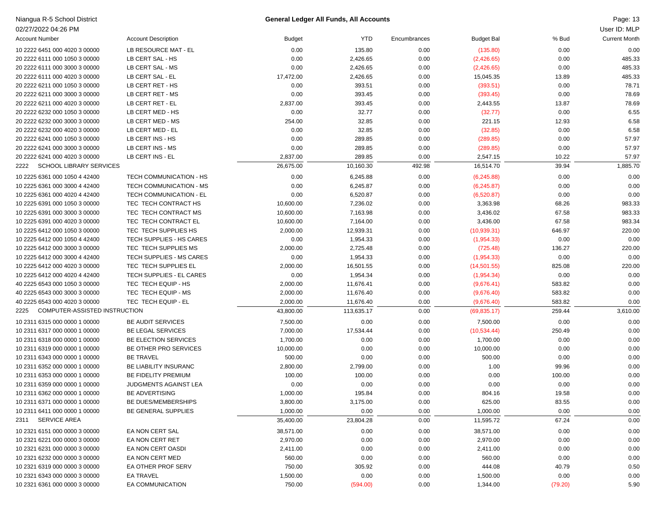| Niangua R-5 School District            |                                |           | <b>General Ledger All Funds, All Accounts</b> |              |                   |         | Page: 13             |
|----------------------------------------|--------------------------------|-----------|-----------------------------------------------|--------------|-------------------|---------|----------------------|
| 02/27/2022 04:26 PM                    |                                |           |                                               |              |                   |         | User ID: MLP         |
| <b>Account Number</b>                  | <b>Account Description</b>     | Budget    | <b>YTD</b>                                    | Encumbrances | <b>Budget Bal</b> | % Bud   | <b>Current Month</b> |
| 10 2222 6451 000 4020 3 00000          | LB RESOURCE MAT - EL           | 0.00      | 135.80                                        | 0.00         | (135.80)          | 0.00    | 0.00                 |
| 20 2222 6111 000 1050 3 00000          | LB CERT SAL - HS               | 0.00      | 2,426.65                                      | 0.00         | (2,426.65)        | 0.00    | 485.33               |
| 20 2222 6111 000 3000 3 00000          | LB CERT SAL - MS               | 0.00      | 2,426.65                                      | 0.00         | (2,426.65)        | 0.00    | 485.33               |
| 20 2222 6111 000 4020 3 00000          | LB CERT SAL - EL               | 17,472.00 | 2,426.65                                      | 0.00         | 15,045.35         | 13.89   | 485.33               |
| 20 2222 6211 000 1050 3 00000          | LB CERT RET - HS               | 0.00      | 393.51                                        | 0.00         | (393.51)          | 0.00    | 78.71                |
| 20 2222 6211 000 3000 3 00000          | LB CERT RET - MS               | 0.00      | 393.45                                        | 0.00         | (393.45)          | 0.00    | 78.69                |
| 20 2222 6211 000 4020 3 00000          | LB CERT RET - EL               | 2,837.00  | 393.45                                        | 0.00         | 2,443.55          | 13.87   | 78.69                |
| 20 2222 6232 000 1050 3 00000          | LB CERT MED - HS               | 0.00      | 32.77                                         | 0.00         | (32.77)           | 0.00    | 6.55                 |
| 20 2222 6232 000 3000 3 00000          | LB CERT MED - MS               | 254.00    | 32.85                                         | 0.00         | 221.15            | 12.93   | 6.58                 |
| 20 2222 6232 000 4020 3 00000          | LB CERT MED - EL               | 0.00      | 32.85                                         | 0.00         | (32.85)           | 0.00    | 6.58                 |
| 20 2222 6241 000 1050 3 00000          | LB CERT INS - HS               | 0.00      | 289.85                                        | 0.00         | (289.85)          | 0.00    | 57.97                |
| 20 2222 6241 000 3000 3 00000          | LB CERT INS - MS               | 0.00      | 289.85                                        | 0.00         | (289.85)          | 0.00    | 57.97                |
| 20 2222 6241 000 4020 3 00000          | LB CERT INS - EL               | 2,837.00  | 289.85                                        | 0.00         | 2,547.15          | 10.22   | 57.97                |
| <b>SCHOOL LIBRARY SERVICES</b><br>2222 |                                | 26,675.00 | 10,160.30                                     | 492.98       | 16,514.70         | 39.94   | 1,885.70             |
| 10 2225 6361 000 1050 4 42400          | TECH COMMUNICATION - HS        | 0.00      | 6,245.88                                      | 0.00         | (6,245.88)        | 0.00    | 0.00                 |
| 10 2225 6361 000 3000 4 42400          | TECH COMMUNICATION - MS        | 0.00      | 6,245.87                                      | 0.00         | (6,245.87)        | 0.00    | 0.00                 |
| 10 2225 6361 000 4020 4 42400          | <b>TECH COMMUNICATION - EL</b> | 0.00      | 6,520.87                                      | 0.00         | (6,520.87)        | 0.00    | 0.00                 |
| 10 2225 6391 000 1050 3 00000          | TEC TECH CONTRACT HS           | 10,600.00 | 7,236.02                                      | 0.00         | 3,363.98          | 68.26   | 983.33               |
| 10 2225 6391 000 3000 3 00000          | TEC TECH CONTRACT MS           | 10,600.00 | 7,163.98                                      | 0.00         | 3,436.02          | 67.58   | 983.33               |
| 10 2225 6391 000 4020 3 00000          | TEC TECH CONTRACT EL           | 10,600.00 | 7,164.00                                      | 0.00         | 3,436.00          | 67.58   | 983.34               |
| 10 2225 6412 000 1050 3 00000          | TEC TECH SUPPLIES HS           | 2,000.00  | 12,939.31                                     | 0.00         | (10,939.31)       | 646.97  | 220.00               |
| 10 2225 6412 000 1050 4 42400          | TECH SUPPLIES - HS CARES       | 0.00      | 1,954.33                                      | 0.00         | (1,954.33)        | 0.00    | 0.00                 |
| 10 2225 6412 000 3000 3 00000          | TEC TECH SUPPLIES MS           | 2,000.00  | 2,725.48                                      | 0.00         | (725.48)          | 136.27  | 220.00               |
| 10 2225 6412 000 3000 4 42400          | TECH SUPPLIES - MS CARES       | 0.00      | 1,954.33                                      | 0.00         | (1,954.33)        | 0.00    | 0.00                 |
| 10 2225 6412 000 4020 3 00000          | TEC TECH SUPPLIES EL           | 2,000.00  | 16,501.55                                     | 0.00         | (14,501.55)       | 825.08  | 220.00               |
| 10 2225 6412 000 4020 4 42400          | TECH SUPPLIES - EL CARES       | 0.00      | 1,954.34                                      | 0.00         | (1,954.34)        | 0.00    | 0.00                 |
| 40 2225 6543 000 1050 3 00000          | TEC TECH EQUIP - HS            | 2,000.00  | 11,676.41                                     | 0.00         | (9,676.41)        | 583.82  | 0.00                 |
| 40 2225 6543 000 3000 3 00000          | TEC TECH EQUIP - MS            | 2,000.00  | 11,676.40                                     | 0.00         | (9,676.40)        | 583.82  | 0.00                 |
| 40 2225 6543 000 4020 3 00000          | TEC TECH EQUIP - EL            | 2,000.00  | 11,676.40                                     | 0.00         | (9,676.40)        | 583.82  | 0.00                 |
| 2225<br>COMPUTER-ASSISTED INSTRUCTION  |                                | 43,800.00 | 113,635.17                                    | 0.00         | (69, 835.17)      | 259.44  | 3,610.00             |
| 10 2311 6315 000 0000 1 00000          | <b>BE AUDIT SERVICES</b>       | 7,500.00  | 0.00                                          | 0.00         | 7,500.00          | 0.00    | 0.00                 |
| 10 2311 6317 000 0000 1 00000          | <b>BE LEGAL SERVICES</b>       | 7,000.00  | 17,534.44                                     | 0.00         | (10, 534.44)      | 250.49  | 0.00                 |
| 10 2311 6318 000 0000 1 00000          | BE ELECTION SERVICES           | 1,700.00  | 0.00                                          | 0.00         | 1,700.00          | 0.00    | 0.00                 |
| 10 2311 6319 000 0000 1 00000          | BE OTHER PRO SERVICES          | 10,000.00 | 0.00                                          | 0.00         | 10,000.00         | 0.00    | 0.00                 |
| 10 2311 6343 000 0000 1 00000          | <b>BE TRAVEL</b>               | 500.00    | 0.00                                          | 0.00         | 500.00            | 0.00    | 0.00                 |
| 10 2311 6352 000 0000 1 00000          | BE LIABILITY INSURANC          | 2,800.00  | 2,799.00                                      | 0.00         | 1.00              | 99.96   | 0.00                 |
| 10 2311 6353 000 0000 1 00000          | BE FIDELITY PREMIUM            | 100.00    | 100.00                                        | 0.00         | 0.00              | 100.00  | 0.00                 |
| 10 2311 6359 000 0000 1 00000          | JUDGMENTS AGAINST LEA          | 0.00      | 0.00                                          | 0.00         | 0.00              | 0.00    | 0.00                 |
| 10 2311 6362 000 0000 1 00000          | <b>BE ADVERTISING</b>          | 1,000.00  | 195.84                                        | 0.00         | 804.16            | 19.58   | 0.00                 |
| 10 2311 6371 000 0000 1 00000          | BE DUES/MEMBERSHIPS            | 3,800.00  | 3,175.00                                      | 0.00         | 625.00            | 83.55   | 0.00                 |
| 10 2311 6411 000 0000 1 00000          | BE GENERAL SUPPLIES            | 1,000.00  | 0.00                                          | 0.00         | 1,000.00          | 0.00    | 0.00                 |
| <b>SERVICE AREA</b><br>2311            |                                | 35,400.00 | 23,804.28                                     | 0.00         | 11,595.72         | 67.24   | 0.00                 |
| 10 2321 6151 000 0000 3 00000          | EA NON CERT SAL                | 38,571.00 | 0.00                                          | 0.00         | 38,571.00         | 0.00    | 0.00                 |
| 10 2321 6221 000 0000 3 00000          | EA NON CERT RET                | 2,970.00  | 0.00                                          | 0.00         | 2,970.00          | 0.00    | 0.00                 |
| 10 2321 6231 000 0000 3 00000          | EA NON CERT OASDI              | 2,411.00  | 0.00                                          | 0.00         | 2,411.00          | 0.00    | 0.00                 |
| 10 2321 6232 000 0000 3 00000          | EA NON CERT MED                | 560.00    | 0.00                                          | 0.00         | 560.00            | 0.00    | 0.00                 |
| 10 2321 6319 000 0000 3 00000          | EA OTHER PROF SERV             | 750.00    | 305.92                                        | 0.00         | 444.08            | 40.79   | 0.50                 |
| 10 2321 6343 000 0000 3 00000          | EA TRAVEL                      | 1,500.00  | 0.00                                          | 0.00         | 1,500.00          | 0.00    | 0.00                 |
| 10 2321 6361 000 0000 3 00000          | EA COMMUNICATION               | 750.00    | (594.00)                                      | 0.00         | 1,344.00          | (79.20) | 5.90                 |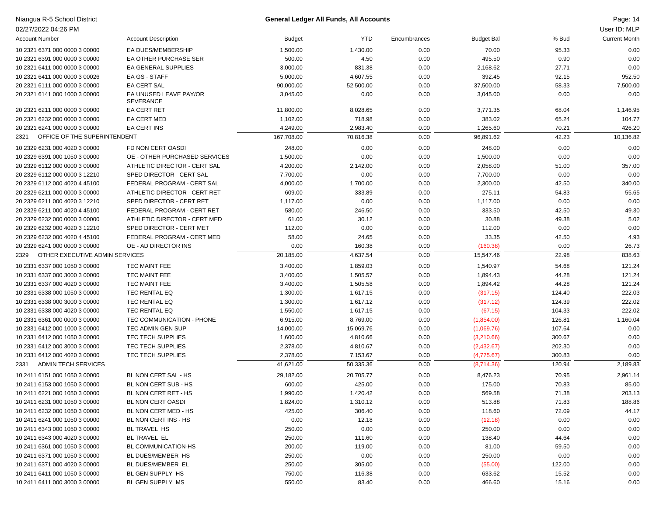| Niangua R-5 School District            |                                            |               | <b>General Ledger All Funds, All Accounts</b> |              |                   |        | Page: 14             |
|----------------------------------------|--------------------------------------------|---------------|-----------------------------------------------|--------------|-------------------|--------|----------------------|
| 02/27/2022 04:26 PM                    |                                            |               |                                               |              |                   |        | User ID: MLP         |
| <b>Account Number</b>                  | <b>Account Description</b>                 | <b>Budget</b> | YTD                                           | Encumbrances | <b>Budget Bal</b> | % Bud  | <b>Current Month</b> |
| 10 2321 6371 000 0000 3 00000          | EA DUES/MEMBERSHIP                         | 1,500.00      | 1,430.00                                      | 0.00         | 70.00             | 95.33  | 0.00                 |
| 10 2321 6391 000 0000 3 00000          | EA OTHER PURCHASE SER                      | 500.00        | 4.50                                          | 0.00         | 495.50            | 0.90   | 0.00                 |
| 10 2321 6411 000 0000 3 00000          | EA GENERAL SUPPLIES                        | 3,000.00      | 831.38                                        | 0.00         | 2,168.62          | 27.71  | 0.00                 |
| 10 2321 6411 000 0000 3 00026          | EA GS - STAFF                              | 5,000.00      | 4,607.55                                      | 0.00         | 392.45            | 92.15  | 952.50               |
| 20 2321 6111 000 0000 3 00000          | EA CERT SAL                                | 90,000.00     | 52,500.00                                     | 0.00         | 37,500.00         | 58.33  | 7,500.00             |
| 20 2321 6141 000 1000 3 00000          | EA UNUSED LEAVE PAY/OR<br><b>SEVERANCE</b> | 3,045.00      | 0.00                                          | 0.00         | 3,045.00          | 0.00   | 0.00                 |
| 20 2321 6211 000 0000 3 00000          | <b>EA CERT RET</b>                         | 11,800.00     | 8,028.65                                      | 0.00         | 3,771.35          | 68.04  | 1,146.95             |
| 20 2321 6232 000 0000 3 00000          | EA CERT MED                                | 1,102.00      | 718.98                                        | 0.00         | 383.02            | 65.24  | 104.77               |
| 20 2321 6241 000 0000 3 00000          | EA CERT INS                                | 4,249.00      | 2,983.40                                      | 0.00         | 1,265.60          | 70.21  | 426.20               |
| OFFICE OF THE SUPERINTENDENT<br>2321   |                                            | 167,708.00    | 70,816.38                                     | 0.00         | 96,891.62         | 42.23  | 10,136.82            |
| 10 2329 6231 000 4020 3 00000          | FD NON CERT OASDI                          | 248.00        | 0.00                                          | 0.00         | 248.00            | 0.00   | 0.00                 |
| 10 2329 6391 000 1050 3 00000          | OE - OTHER PURCHASED SERVICES              | 1,500.00      | 0.00                                          | 0.00         | 1,500.00          | 0.00   | 0.00                 |
| 20 2329 6112 000 0000 3 00000          | ATHLETIC DIRECTOR - CERT SAL               | 4,200.00      | 2,142.00                                      | 0.00         | 2,058.00          | 51.00  | 357.00               |
| 20 2329 6112 000 0000 3 12210          | SPED DIRECTOR - CERT SAL                   | 7,700.00      | 0.00                                          | 0.00         | 7,700.00          | 0.00   | 0.00                 |
| 20 2329 6112 000 4020 4 45100          | FEDERAL PROGRAM - CERT SAL                 | 4,000.00      | 1,700.00                                      | 0.00         | 2,300.00          | 42.50  | 340.00               |
| 20 2329 6211 000 0000 3 00000          | ATHLETIC DIRECTOR - CERT RET               | 609.00        | 333.89                                        | 0.00         | 275.11            | 54.83  | 55.65                |
| 20 2329 6211 000 4020 3 12210          | SPED DIRECTOR - CERT RET                   | 1,117.00      | 0.00                                          | 0.00         | 1,117.00          | 0.00   | 0.00                 |
| 20 2329 6211 000 4020 4 45100          | FEDERAL PROGRAM - CERT RET                 | 580.00        | 246.50                                        | 0.00         | 333.50            | 42.50  | 49.30                |
| 20 2329 6232 000 0000 3 00000          | ATHLETIC DIRECTOR - CERT MED               | 61.00         | 30.12                                         | 0.00         | 30.88             | 49.38  | 5.02                 |
| 20 2329 6232 000 4020 3 12210          | SPED DIRECTOR - CERT MET                   | 112.00        | 0.00                                          | 0.00         | 112.00            | 0.00   | 0.00                 |
| 20 2329 6232 000 4020 4 45100          | FEDERAL PROGRAM - CERT MED                 | 58.00         | 24.65                                         | 0.00         | 33.35             | 42.50  | 4.93                 |
| 20 2329 6241 000 0000 3 00000          | OE - AD DIRECTOR INS                       | 0.00          | 160.38                                        | 0.00         | (160.38)          | 0.00   | 26.73                |
| OTHER EXECUTIVE ADMIN SERVICES<br>2329 |                                            | 20,185.00     | 4,637.54                                      | 0.00         | 15,547.46         | 22.98  | 838.63               |
| 10 2331 6337 000 1050 3 00000          | TEC MAINT FEE                              | 3,400.00      | 1,859.03                                      | 0.00         | 1,540.97          | 54.68  | 121.24               |
| 10 2331 6337 000 3000 3 00000          | TEC MAINT FEE                              | 3,400.00      | 1,505.57                                      | 0.00         | 1,894.43          | 44.28  | 121.24               |
| 10 2331 6337 000 4020 3 00000          | TEC MAINT FEE                              | 3,400.00      | 1,505.58                                      | 0.00         | 1,894.42          | 44.28  | 121.24               |
| 10 2331 6338 000 1050 3 00000          | TEC RENTAL EQ                              | 1,300.00      | 1,617.15                                      | 0.00         | (317.15)          | 124.40 | 222.03               |
| 10 2331 6338 000 3000 3 00000          | TEC RENTAL EQ                              | 1,300.00      | 1,617.12                                      | 0.00         | (317.12)          | 124.39 | 222.02               |
| 10 2331 6338 000 4020 3 00000          | TEC RENTAL EQ                              | 1,550.00      | 1,617.15                                      | 0.00         | (67.15)           | 104.33 | 222.02               |
| 10 2331 6361 000 0000 3 00000          | TEC COMMUNICATION - PHONE                  | 6,915.00      | 8,769.00                                      | 0.00         | (1,854.00)        | 126.81 | 1,160.04             |
| 10 2331 6412 000 1000 3 00000          | TEC ADMIN GEN SUP                          | 14,000.00     | 15,069.76                                     | 0.00         | (1,069.76)        | 107.64 | 0.00                 |
| 10 2331 6412 000 1050 3 00000          | TEC TECH SUPPLIES                          | 1,600.00      | 4,810.66                                      | 0.00         | (3,210.66)        | 300.67 | 0.00                 |
| 10 2331 6412 000 3000 3 00000          | TEC TECH SUPPLIES                          | 2,378.00      | 4,810.67                                      | 0.00         | (2,432.67)        | 202.30 | 0.00                 |
| 10 2331 6412 000 4020 3 00000          | TEC TECH SUPPLIES                          | 2,378.00      | 7,153.67                                      | 0.00         | (4,775.67)        | 300.83 | 0.00                 |
| <b>ADMIN TECH SERVICES</b><br>2331     |                                            | 41,621.00     | 50,335.36                                     | 0.00         | (8,714.36)        | 120.94 | 2,189.83             |
| 10 2411 6151 000 1050 3 00000          | BL NON CERT SAL - HS                       | 29,182.00     | 20,705.77                                     | 0.00         | 8,476.23          | 70.95  | 2,961.14             |
| 10 2411 6153 000 1050 3 00000          | BL NON CERT SUB - HS                       | 600.00        | 425.00                                        | 0.00         | 175.00            | 70.83  | 85.00                |
| 10 2411 6221 000 1050 3 00000          | BL NON CERT RET - HS                       | 1,990.00      | 1,420.42                                      | 0.00         | 569.58            | 71.38  | 203.13               |
| 10 2411 6231 000 1050 3 00000          | BL NON CERT OASDI                          | 1,824.00      | 1,310.12                                      | 0.00         | 513.88            | 71.83  | 188.86               |
| 10 2411 6232 000 1050 3 00000          | BL NON CERT MED - HS                       | 425.00        | 306.40                                        | 0.00         | 118.60            | 72.09  | 44.17                |
| 10 2411 6241 000 1050 3 00000          | BL NON CERT INS - HS                       | 0.00          | 12.18                                         | 0.00         | (12.18)           | 0.00   | 0.00                 |
| 10 2411 6343 000 1050 3 00000          | BL TRAVEL HS                               | 250.00        | 0.00                                          | 0.00         | 250.00            | 0.00   | 0.00                 |
| 10 2411 6343 000 4020 3 00000          | BL TRAVEL EL                               | 250.00        | 111.60                                        | 0.00         | 138.40            | 44.64  | 0.00                 |
| 10 2411 6361 000 1050 3 00000          | BL COMMUNICATION-HS                        | 200.00        | 119.00                                        | 0.00         | 81.00             | 59.50  | 0.00                 |
| 10 2411 6371 000 1050 3 00000          | BL DUES/MEMBER HS                          | 250.00        | 0.00                                          | 0.00         | 250.00            | 0.00   | 0.00                 |
| 10 2411 6371 000 4020 3 00000          | BL DUES/MEMBER EL                          | 250.00        | 305.00                                        | 0.00         | (55.00)           | 122.00 | 0.00                 |
| 10 2411 6411 000 1050 3 00000          | BL GEN SUPPLY HS                           | 750.00        | 116.38                                        | 0.00         | 633.62            | 15.52  | 0.00                 |
| 10 2411 6411 000 3000 3 00000          | BL GEN SUPPLY MS                           | 550.00        | 83.40                                         | 0.00         | 466.60            | 15.16  | 0.00                 |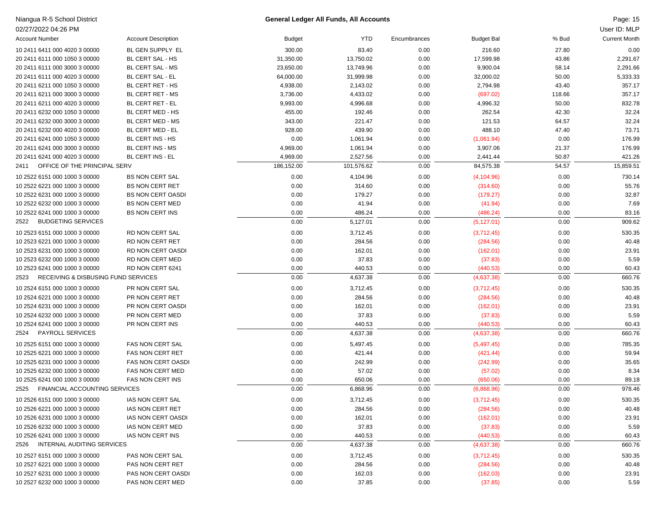| Niangua R-5 School District                 |                            |               | <b>General Ledger All Funds, All Accounts</b> |              |                   |        | Page: 15             |
|---------------------------------------------|----------------------------|---------------|-----------------------------------------------|--------------|-------------------|--------|----------------------|
| 02/27/2022 04:26 PM                         |                            |               |                                               |              |                   |        | User ID: MLP         |
| <b>Account Number</b>                       | <b>Account Description</b> | <b>Budget</b> | <b>YTD</b>                                    | Encumbrances | <b>Budget Bal</b> | % Bud  | <b>Current Month</b> |
| 10 2411 6411 000 4020 3 00000               | BL GEN SUPPLY EL           | 300.00        | 83.40                                         | 0.00         | 216.60            | 27.80  | 0.00                 |
| 20 2411 6111 000 1050 3 00000               | BL CERT SAL - HS           | 31,350.00     | 13,750.02                                     | 0.00         | 17,599.98         | 43.86  | 2,291.67             |
| 20 2411 6111 000 3000 3 00000               | BL CERT SAL - MS           | 23,650.00     | 13,749.96                                     | 0.00         | 9,900.04          | 58.14  | 2,291.66             |
| 20 2411 6111 000 4020 3 00000               | BL CERT SAL - EL           | 64,000.00     | 31,999.98                                     | 0.00         | 32,000.02         | 50.00  | 5,333.33             |
| 20 2411 6211 000 1050 3 00000               | BL CERT RET - HS           | 4,938.00      | 2,143.02                                      | 0.00         | 2,794.98          | 43.40  | 357.17               |
| 20 2411 6211 000 3000 3 00000               | BL CERT RET - MS           | 3,736.00      | 4,433.02                                      | 0.00         | (697.02)          | 118.66 | 357.17               |
| 20 2411 6211 000 4020 3 00000               | BL CERT RET - EL           | 9,993.00      | 4,996.68                                      | 0.00         | 4,996.32          | 50.00  | 832.78               |
| 20 2411 6232 000 1050 3 00000               | BL CERT MED - HS           | 455.00        | 192.46                                        | 0.00         | 262.54            | 42.30  | 32.24                |
| 20 2411 6232 000 3000 3 00000               | BL CERT MED - MS           | 343.00        | 221.47                                        | 0.00         | 121.53            | 64.57  | 32.24                |
| 20 2411 6232 000 4020 3 00000               | BL CERT MED - EL           | 928.00        | 439.90                                        | 0.00         | 488.10            | 47.40  | 73.71                |
| 20 2411 6241 000 1050 3 00000               | BL CERT INS - HS           | 0.00          | 1,061.94                                      | 0.00         | (1,061.94)        | 0.00   | 176.99               |
| 20 2411 6241 000 3000 3 00000               | <b>BL CERT INS - MS</b>    | 4,969.00      | 1,061.94                                      | 0.00         | 3,907.06          | 21.37  | 176.99               |
| 20 2411 6241 000 4020 3 00000               | <b>BL CERT INS - EL</b>    | 4,969.00      | 2,527.56                                      | 0.00         | 2,441.44          | 50.87  | 421.26               |
| OFFICE OF THE PRINCIPAL SERV<br>2411        |                            | 186,152.00    | 101,576.62                                    | 0.00         | 84,575.38         | 54.57  | 15,859.51            |
| 10 2522 6151 000 1000 3 00000               | <b>BS NON CERT SAL</b>     | 0.00          | 4,104.96                                      | 0.00         | (4, 104.96)       | 0.00   | 730.14               |
| 10 2522 6221 000 1000 3 00000               | <b>BS NON CERT RET</b>     | 0.00          | 314.60                                        | 0.00         | (314.60)          | 0.00   | 55.76                |
| 10 2522 6231 000 1000 3 00000               | <b>BS NON CERT OASDI</b>   | 0.00          | 179.27                                        | 0.00         | (179.27)          | 0.00   | 32.87                |
| 10 2522 6232 000 1000 3 00000               | <b>BS NON CERT MED</b>     | 0.00          | 41.94                                         | 0.00         | (41.94)           | 0.00   | 7.69                 |
| 10 2522 6241 000 1000 3 00000               | BS NON CERT INS            | 0.00          | 486.24                                        | 0.00         | (486.24)          | 0.00   | 83.16                |
| <b>BUDGETING SERVICES</b><br>2522           |                            | 0.00          | 5,127.01                                      | 0.00         | (5, 127.01)       | 0.00   | 909.62               |
| 10 2523 6151 000 1000 3 00000               | RD NON CERT SAL            | 0.00          | 3,712.45                                      | 0.00         | (3,712.45)        | 0.00   | 530.35               |
| 10 2523 6221 000 1000 3 00000               | RD NON CERT RET            | 0.00          | 284.56                                        | 0.00         | (284.56)          | 0.00   | 40.48                |
| 10 2523 6231 000 1000 3 00000               | RD NON CERT OASDI          | 0.00          | 162.01                                        | 0.00         | (162.01)          | 0.00   | 23.91                |
| 10 2523 6232 000 1000 3 00000               | RD NON CERT MED            | 0.00          | 37.83                                         | 0.00         | (37.83)           | 0.00   | 5.59                 |
| 10 2523 6241 000 1000 3 00000               | RD NON CERT 6241           | 0.00          | 440.53                                        | 0.00         | (440.53)          | 0.00   | 60.43                |
| RECEIVING & DISBUSING FUND SERVICES<br>2523 |                            | 0.00          | 4,637.38                                      | 0.00         | (4,637.38)        | 0.00   | 660.76               |
| 10 2524 6151 000 1000 3 00000               | PR NON CERT SAL            | 0.00          | 3,712.45                                      | 0.00         | (3,712.45)        | 0.00   | 530.35               |
| 10 2524 6221 000 1000 3 00000               | PR NON CERT RET            | 0.00          | 284.56                                        | 0.00         | (284.56)          | 0.00   | 40.48                |
| 10 2524 6231 000 1000 3 00000               | PR NON CERT OASDI          | 0.00          | 162.01                                        | 0.00         | (162.01)          | 0.00   | 23.91                |
| 10 2524 6232 000 1000 3 00000               | PR NON CERT MED            | 0.00          | 37.83                                         | 0.00         | (37.83)           | 0.00   | 5.59                 |
| 10 2524 6241 000 1000 3 00000               | PR NON CERT INS            | 0.00          | 440.53                                        | 0.00         | (440.53)          | 0.00   | 60.43                |
| PAYROLL SERVICES<br>2524                    |                            | 0.00          | 4,637.38                                      | 0.00         | (4,637.38)        | 0.00   | 660.76               |
| 10 2525 6151 000 1000 3 00000               | FAS NON CERT SAL           | 0.00          | 5,497.45                                      | 0.00         | (5,497.45)        | 0.00   | 785.35               |
| 10 2525 6221 000 1000 3 00000               | FAS NON CERT RET           | 0.00          | 421.44                                        | 0.00         | (421.44)          | 0.00   | 59.94                |
| 10 2525 6231 000 1000 3 00000               | <b>FAS NON CERT OASDI</b>  | 0.00          | 242.99                                        | 0.00         | (242.99)          | 0.00   | 35.65                |
| 10 2525 6232 000 1000 3 00000               | FAS NON CERT MED           | 0.00          | 57.02                                         | 0.00         | (57.02)           | 0.00   | 8.34                 |
| 10 2525 6241 000 1000 3 00000               | FAS NON CERT INS           | 0.00          | 650.06                                        | 0.00         | (650.06)          | 0.00   | 89.18                |
| 2525 FINANCIAL ACCOUNTING SERVICES          |                            | 0.00          | 6,868.96                                      | 0.00         | (6,868.96)        | 0.00   | 978.46               |
| 10 2526 6151 000 1000 3 00000               | IAS NON CERT SAL           | 0.00          | 3,712.45                                      | 0.00         | (3,712.45)        | 0.00   | 530.35               |
| 10 2526 6221 000 1000 3 00000               | IAS NON CERT RET           | 0.00          | 284.56                                        | 0.00         | (284.56)          | 0.00   | 40.48                |
| 10 2526 6231 000 1000 3 00000               | IAS NON CERT OASDI         | 0.00          | 162.01                                        | 0.00         | (162.01)          | 0.00   | 23.91                |
| 10 2526 6232 000 1000 3 00000               | IAS NON CERT MED           | 0.00          | 37.83                                         | 0.00         | (37.83)           | 0.00   | 5.59                 |
| 10 2526 6241 000 1000 3 00000               | IAS NON CERT INS           | 0.00          | 440.53                                        | 0.00         | (440.53)          | 0.00   | 60.43                |
| INTERNAL AUDITING SERVICES<br>2526          |                            | 0.00          | 4,637.38                                      | 0.00         | (4,637.38)        | 0.00   | 660.76               |
| 10 2527 6151 000 1000 3 00000               | PAS NON CERT SAL           | 0.00          | 3,712.45                                      | 0.00         | (3,712.45)        | 0.00   | 530.35               |
| 10 2527 6221 000 1000 3 00000               | PAS NON CERT RET           | 0.00          | 284.56                                        | 0.00         | (284.56)          | 0.00   | 40.48                |
| 10 2527 6231 000 1000 3 00000               | PAS NON CERT OASDI         | 0.00          | 162.03                                        | 0.00         | (162.03)          | 0.00   | 23.91                |
| 10 2527 6232 000 1000 3 00000               | PAS NON CERT MED           | 0.00          | 37.85                                         | 0.00         | (37.85)           | 0.00   | 5.59                 |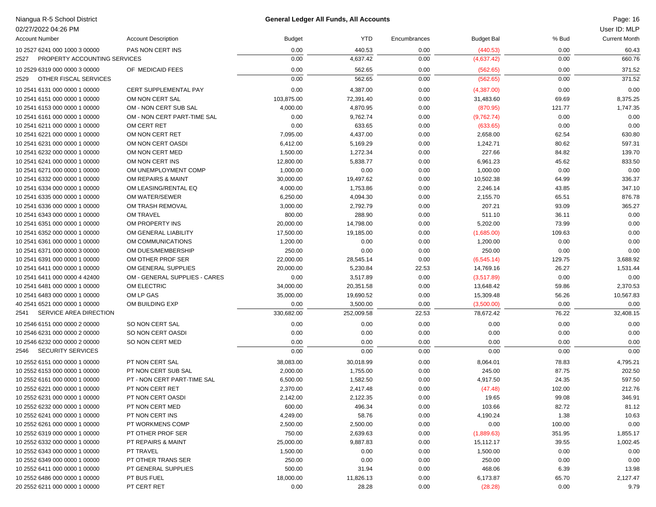| Niangua R-5 School District          |                               |               | <b>General Ledger All Funds, All Accounts</b> |              |                   |        | Page: 16             |
|--------------------------------------|-------------------------------|---------------|-----------------------------------------------|--------------|-------------------|--------|----------------------|
| 02/27/2022 04:26 PM                  |                               |               |                                               |              |                   |        | User ID: MLP         |
| <b>Account Number</b>                | <b>Account Description</b>    | <b>Budget</b> | <b>YTD</b>                                    | Encumbrances | <b>Budget Bal</b> | % Bud  | <b>Current Month</b> |
| 10 2527 6241 000 1000 3 00000        | PAS NON CERT INS              | 0.00          | 440.53                                        | 0.00         | (440.53)          | 0.00   | 60.43                |
| PROPERTY ACCOUNTING SERVICES<br>2527 |                               | 0.00          | 4,637.42                                      | 0.00         | (4,637.42)        | 0.00   | 660.76               |
| 10 2529 6319 000 0000 3 00000        | OF MEDICAID FEES              | 0.00          | 562.65                                        | 0.00         | (562.65)          | 0.00   | 371.52               |
| OTHER FISCAL SERVICES<br>2529        |                               | 0.00          | 562.65                                        | 0.00         | (562.65)          | 0.00   | 371.52               |
| 10 2541 6131 000 0000 1 00000        | CERT SUPPLEMENTAL PAY         | 0.00          | 4,387.00                                      | 0.00         | (4,387.00)        | 0.00   | 0.00                 |
| 10 2541 6151 000 0000 1 00000        | OM NON CERT SAL               | 103,875.00    | 72,391.40                                     | 0.00         | 31,483.60         | 69.69  | 8,375.25             |
| 10 2541 6153 000 0000 1 00000        | OM - NON CERT SUB SAL         | 4,000.00      | 4,870.95                                      | 0.00         | (870.95)          | 121.77 | 1,747.35             |
| 10 2541 6161 000 0000 1 00000        | OM - NON CERT PART-TIME SAL   | 0.00          | 9,762.74                                      | 0.00         | (9,762.74)        | 0.00   | 0.00                 |
| 10 2541 6211 000 0000 1 00000        | OM CERT RET                   | 0.00          | 633.65                                        | 0.00         | (633.65)          | 0.00   | 0.00                 |
| 10 2541 6221 000 0000 1 00000        | OM NON CERT RET               | 7,095.00      | 4,437.00                                      | 0.00         | 2,658.00          | 62.54  | 630.80               |
| 10 2541 6231 000 0000 1 00000        | OM NON CERT OASDI             | 6,412.00      | 5,169.29                                      | 0.00         | 1,242.71          | 80.62  | 597.31               |
| 10 2541 6232 000 0000 1 00000        | OM NON CERT MED               | 1,500.00      | 1,272.34                                      | 0.00         | 227.66            | 84.82  | 139.70               |
| 10 2541 6241 000 0000 1 00000        | OM NON CERT INS               | 12,800.00     | 5,838.77                                      | 0.00         | 6,961.23          | 45.62  | 833.50               |
| 10 2541 6271 000 0000 1 00000        | OM UNEMPLOYMENT COMP          | 1,000.00      | 0.00                                          | 0.00         | 1,000.00          | 0.00   | 0.00                 |
| 10 2541 6332 000 0000 1 00000        | OM REPAIRS & MAINT            | 30,000.00     | 19,497.62                                     | 0.00         | 10,502.38         | 64.99  | 336.37               |
| 10 2541 6334 000 0000 1 00000        | OM LEASING/RENTAL EQ          | 4,000.00      | 1,753.86                                      | 0.00         | 2,246.14          | 43.85  | 347.10               |
| 10 2541 6335 000 0000 1 00000        | OM WATER/SEWER                | 6,250.00      | 4,094.30                                      | 0.00         | 2,155.70          | 65.51  | 876.78               |
| 10 2541 6336 000 0000 1 00000        | OM TRASH REMOVAL              | 3,000.00      | 2,792.79                                      | 0.00         | 207.21            | 93.09  | 365.27               |
| 10 2541 6343 000 0000 1 00000        | OM TRAVEL                     | 800.00        | 288.90                                        | 0.00         | 511.10            | 36.11  | 0.00                 |
| 10 2541 6351 000 0000 1 00000        | OM PROPERTY INS               | 20,000.00     | 14,798.00                                     | 0.00         | 5,202.00          | 73.99  | 0.00                 |
| 10 2541 6352 000 0000 1 00000        | OM GENERAL LIABILITY          | 17,500.00     | 19,185.00                                     | 0.00         | (1,685.00)        | 109.63 | 0.00                 |
| 10 2541 6361 000 0000 1 00000        | OM COMMUNICATIONS             | 1,200.00      | 0.00                                          | 0.00         | 1,200.00          | 0.00   | 0.00                 |
| 10 2541 6371 000 0000 3 00000        | OM DUES/MEMBERSHIP            | 250.00        | 0.00                                          | 0.00         | 250.00            | 0.00   | 0.00                 |
| 10 2541 6391 000 0000 1 00000        | OM OTHER PROF SER             | 22,000.00     | 28,545.14                                     | 0.00         | (6, 545.14)       | 129.75 | 3,688.92             |
| 10 2541 6411 000 0000 1 00000        | OM GENERAL SUPPLIES           | 20,000.00     | 5,230.84                                      | 22.53        | 14,769.16         | 26.27  | 1,531.44             |
| 10 2541 6411 000 0000 4 42400        | OM - GENERAL SUPPLIES - CARES | 0.00          | 3,517.89                                      | 0.00         | (3,517.89)        | 0.00   | 0.00                 |
| 10 2541 6481 000 0000 1 00000        | OM ELECTRIC                   | 34,000.00     | 20,351.58                                     | 0.00         | 13,648.42         | 59.86  | 2,370.53             |
| 10 2541 6483 000 0000 1 00000        | OM LP GAS                     | 35,000.00     | 19,690.52                                     | 0.00         | 15,309.48         | 56.26  | 10,567.83            |
| 40 2541 6521 000 0000 1 00000        | OM BUILDING EXP               | 0.00          | 3,500.00                                      | 0.00         | (3,500.00)        | 0.00   | 0.00                 |
| SERVICE AREA DIRECTION<br>2541       |                               | 330,682.00    | 252,009.58                                    | 22.53        | 78,672.42         | 76.22  | 32,408.15            |
| 10 2546 6151 000 0000 2 00000        | SO NON CERT SAL               | 0.00          | 0.00                                          | 0.00         | 0.00              | 0.00   | 0.00                 |
| 10 2546 6231 000 0000 2 00000        | SO NON CERT OASDI             | 0.00          | 0.00                                          | 0.00         | 0.00              | 0.00   | 0.00                 |
| 10 2546 6232 000 0000 2 00000        | SO NON CERT MED               | 0.00          | 0.00                                          | 0.00         | 0.00              | 0.00   | 0.00                 |
| <b>SECURITY SERVICES</b><br>2546     |                               | 0.00          | 0.00                                          | 0.00         | 0.00              | 0.00   | 0.00                 |
| 10 2552 6151 000 0000 1 00000        | PT NON CERT SAL               | 38,083.00     | 30,018.99                                     | 0.00         | 8,064.01          | 78.83  | 4,795.21             |
| 10 2552 6153 000 0000 1 00000        | PT NON CERT SUB SAL           | 2,000.00      | 1,755.00                                      | 0.00         | 245.00            | 87.75  | 202.50               |
| 10 2552 6161 000 0000 1 00000        | PT - NON CERT PART-TIME SAL   | 6,500.00      | 1,582.50                                      | 0.00         | 4,917.50          | 24.35  | 597.50               |
| 10 2552 6221 000 0000 1 00000        | PT NON CERT RET               | 2,370.00      | 2,417.48                                      | 0.00         | (47.48)           | 102.00 | 212.76               |
| 10 2552 6231 000 0000 1 00000        | PT NON CERT OASDI             | 2,142.00      | 2,122.35                                      | 0.00         | 19.65             | 99.08  | 346.91               |
| 10 2552 6232 000 0000 1 00000        | PT NON CERT MED               | 600.00        | 496.34                                        | 0.00         | 103.66            | 82.72  | 81.12                |
| 10 2552 6241 000 0000 1 00000        | PT NON CERT INS               | 4,249.00      | 58.76                                         | 0.00         | 4,190.24          | 1.38   | 10.63                |
| 10 2552 6261 000 0000 1 00000        | PT WORKMENS COMP              | 2,500.00      | 2,500.00                                      | 0.00         | 0.00              | 100.00 | 0.00                 |
| 10 2552 6319 000 0000 1 00000        | PT OTHER PROF SER             | 750.00        | 2,639.63                                      | 0.00         | (1,889.63)        | 351.95 | 1,855.17             |
| 10 2552 6332 000 0000 1 00000        | PT REPAIRS & MAINT            | 25,000.00     | 9,887.83                                      | 0.00         | 15,112.17         | 39.55  | 1,002.45             |
| 10 2552 6343 000 0000 1 00000        | PT TRAVEL                     | 1,500.00      | 0.00                                          | 0.00         | 1,500.00          | 0.00   | 0.00                 |
| 10 2552 6349 000 0000 1 00000        | PT OTHER TRANS SER            | 250.00        | 0.00                                          | 0.00         | 250.00            | 0.00   | 0.00                 |
| 10 2552 6411 000 0000 1 00000        | PT GENERAL SUPPLIES           | 500.00        | 31.94                                         | 0.00         | 468.06            | 6.39   | 13.98                |
| 10 2552 6486 000 0000 1 00000        | PT BUS FUEL                   | 18,000.00     | 11,826.13                                     | 0.00         | 6,173.87          | 65.70  | 2,127.47             |
| 20 2552 6211 000 0000 1 00000        | PT CERT RET                   | 0.00          | 28.28                                         | 0.00         | (28.28)           | 0.00   | 9.79                 |